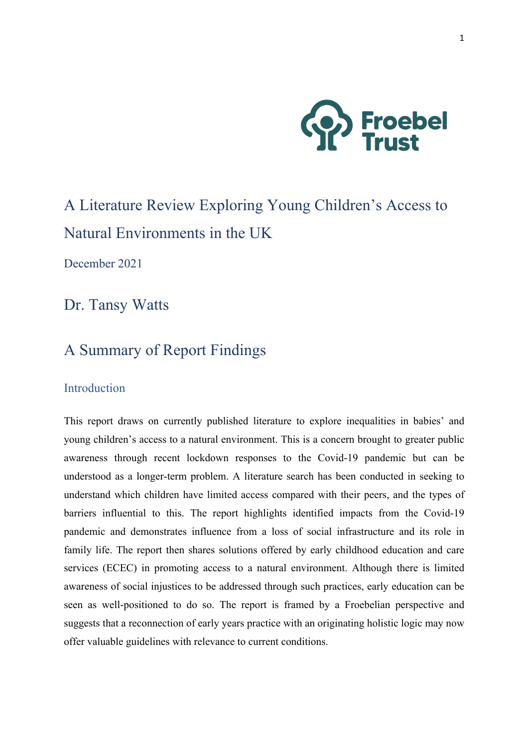

# A Literature Review Exploring Young Children's Access to Natural Environments in the UK

December 2021

Dr. Tansy Watts

# A Summary of Report Findings

### **Introduction**

This report draws on currently published literature to explore inequalities in babies' and young children's access to a natural environment. This is a concern brought to greater public awareness through recent lockdown responses to the Covid-19 pandemic but can be understood as a longer-term problem. A literature search has been conducted in seeking to understand which children have limited access compared with their peers, and the types of barriers influential to this. The report highlights identified impacts from the Covid-19 pandemic and demonstrates influence from a loss of social infrastructure and its role in family life. The report then shares solutions offered by early childhood education and care services (ECEC) in promoting access to a natural environment. Although there is limited awareness of social injustices to be addressed through such practices, early education can be seen as well-positioned to do so. The report is framed by a Froebelian perspective and suggests that a reconnection of early years practice with an originating holistic logic may now offer valuable guidelines with relevance to current conditions.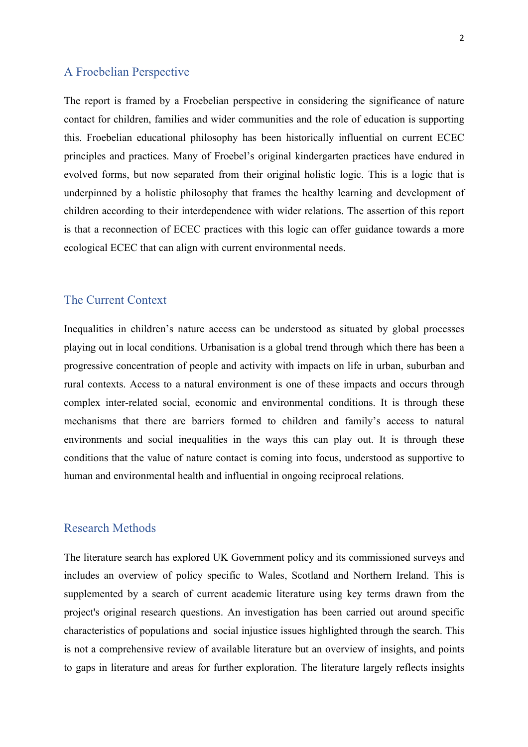### A Froebelian Perspective

The report is framed by a Froebelian perspective in considering the significance of nature contact for children, families and wider communities and the role of education is supporting this. Froebelian educational philosophy has been historically influential on current ECEC principles and practices. Many of Froebel's original kindergarten practices have endured in evolved forms, but now separated from their original holistic logic. This is a logic that is underpinned by a holistic philosophy that frames the healthy learning and development of children according to their interdependence with wider relations. The assertion of this report is that a reconnection of ECEC practices with this logic can offer guidance towards a more ecological ECEC that can align with current environmental needs.

#### The Current Context

Inequalities in children's nature access can be understood as situated by global processes playing out in local conditions. Urbanisation is a global trend through which there has been a progressive concentration of people and activity with impacts on life in urban, suburban and rural contexts. Access to a natural environment is one of these impacts and occurs through complex inter-related social, economic and environmental conditions. It is through these mechanisms that there are barriers formed to children and family's access to natural environments and social inequalities in the ways this can play out. It is through these conditions that the value of nature contact is coming into focus, understood as supportive to human and environmental health and influential in ongoing reciprocal relations.

#### Research Methods

The literature search has explored UK Government policy and its commissioned surveys and includes an overview of policy specific to Wales, Scotland and Northern Ireland. This is supplemented by a search of current academic literature using key terms drawn from the project's original research questions. An investigation has been carried out around specific characteristics of populations and social injustice issues highlighted through the search. This is not a comprehensive review of available literature but an overview of insights, and points to gaps in literature and areas for further exploration. The literature largely reflects insights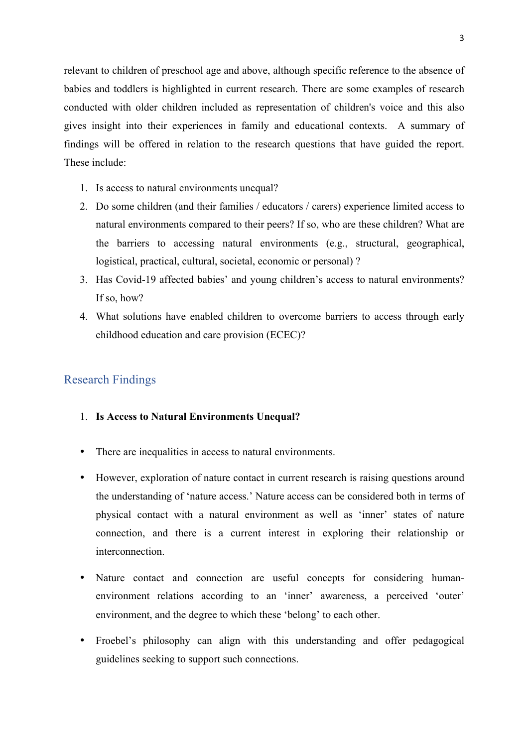relevant to children of preschool age and above, although specific reference to the absence of babies and toddlers is highlighted in current research. There are some examples of research conducted with older children included as representation of children's voice and this also gives insight into their experiences in family and educational contexts. A summary of findings will be offered in relation to the research questions that have guided the report. These include:

- 1. Is access to natural environments unequal?
- 2. Do some children (and their families / educators / carers) experience limited access to natural environments compared to their peers? If so, who are these children? What are the barriers to accessing natural environments (e.g., structural, geographical, logistical, practical, cultural, societal, economic or personal) ?
- 3. Has Covid-19 affected babies' and young children's access to natural environments? If so, how?
- 4. What solutions have enabled children to overcome barriers to access through early childhood education and care provision (ECEC)?

### Research Findings

#### 1. **Is Access to Natural Environments Unequal?**

- There are inequalities in access to natural environments.
- However, exploration of nature contact in current research is raising questions around the understanding of 'nature access.' Nature access can be considered both in terms of physical contact with a natural environment as well as 'inner' states of nature connection, and there is a current interest in exploring their relationship or interconnection.
- Nature contact and connection are useful concepts for considering humanenvironment relations according to an 'inner' awareness, a perceived 'outer' environment, and the degree to which these 'belong' to each other.
- Froebel's philosophy can align with this understanding and offer pedagogical guidelines seeking to support such connections.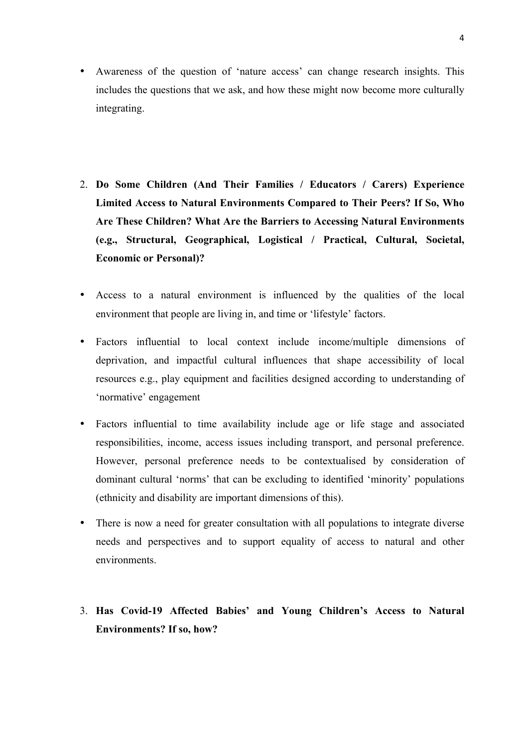- Awareness of the question of 'nature access' can change research insights. This includes the questions that we ask, and how these might now become more culturally integrating.
- 2. **Do Some Children (And Their Families / Educators / Carers) Experience Limited Access to Natural Environments Compared to Their Peers? If So, Who Are These Children? What Are the Barriers to Accessing Natural Environments (e.g., Structural, Geographical, Logistical / Practical, Cultural, Societal, Economic or Personal)?**
- Access to a natural environment is influenced by the qualities of the local environment that people are living in, and time or 'lifestyle' factors.
- Factors influential to local context include income/multiple dimensions of deprivation, and impactful cultural influences that shape accessibility of local resources e.g., play equipment and facilities designed according to understanding of 'normative' engagement
- Factors influential to time availability include age or life stage and associated responsibilities, income, access issues including transport, and personal preference. However, personal preference needs to be contextualised by consideration of dominant cultural 'norms' that can be excluding to identified 'minority' populations (ethnicity and disability are important dimensions of this).
- There is now a need for greater consultation with all populations to integrate diverse needs and perspectives and to support equality of access to natural and other environments.

## 3. **Has Covid-19 Affected Babies' and Young Children's Access to Natural Environments? If so, how?**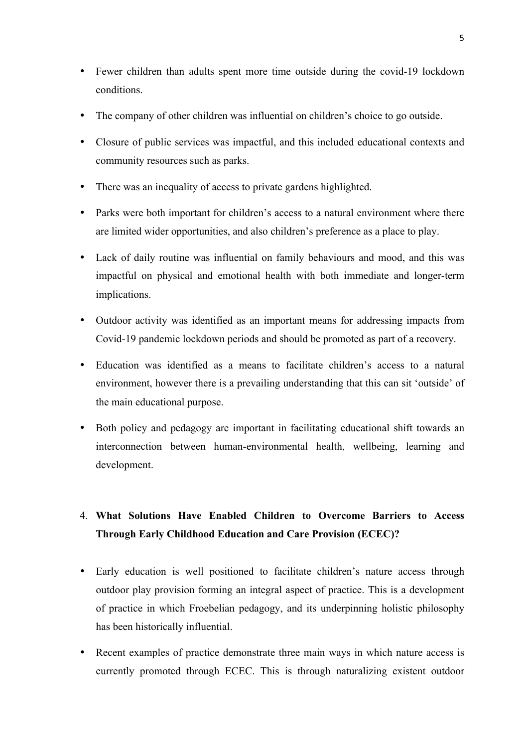- Fewer children than adults spent more time outside during the covid-19 lockdown conditions.
- The company of other children was influential on children's choice to go outside.
- Closure of public services was impactful, and this included educational contexts and community resources such as parks.
- There was an inequality of access to private gardens highlighted.
- Parks were both important for children's access to a natural environment where there are limited wider opportunities, and also children's preference as a place to play.
- Lack of daily routine was influential on family behaviours and mood, and this was impactful on physical and emotional health with both immediate and longer-term implications.
- Outdoor activity was identified as an important means for addressing impacts from Covid-19 pandemic lockdown periods and should be promoted as part of a recovery.
- Education was identified as a means to facilitate children's access to a natural environment, however there is a prevailing understanding that this can sit 'outside' of the main educational purpose.
- Both policy and pedagogy are important in facilitating educational shift towards an interconnection between human-environmental health, wellbeing, learning and development.

# 4. **What Solutions Have Enabled Children to Overcome Barriers to Access Through Early Childhood Education and Care Provision (ECEC)?**

- Early education is well positioned to facilitate children's nature access through outdoor play provision forming an integral aspect of practice. This is a development of practice in which Froebelian pedagogy, and its underpinning holistic philosophy has been historically influential.
- Recent examples of practice demonstrate three main ways in which nature access is currently promoted through ECEC. This is through naturalizing existent outdoor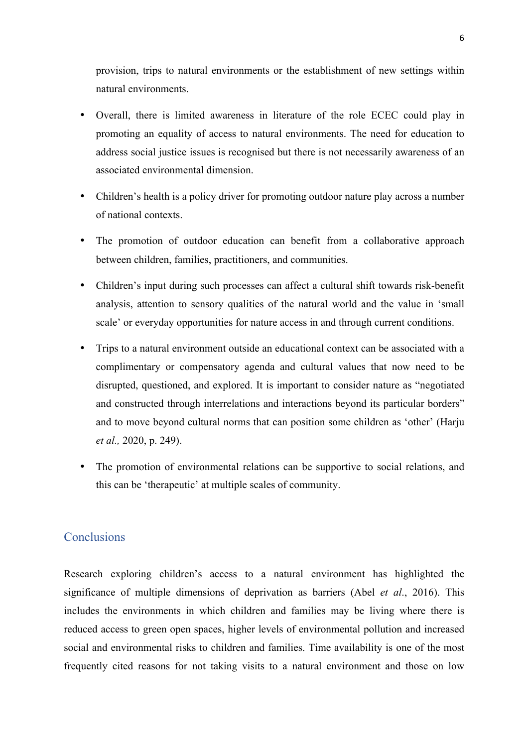provision, trips to natural environments or the establishment of new settings within natural environments.

- Overall, there is limited awareness in literature of the role ECEC could play in promoting an equality of access to natural environments. The need for education to address social justice issues is recognised but there is not necessarily awareness of an associated environmental dimension.
- Children's health is a policy driver for promoting outdoor nature play across a number of national contexts.
- The promotion of outdoor education can benefit from a collaborative approach between children, families, practitioners, and communities.
- Children's input during such processes can affect a cultural shift towards risk-benefit analysis, attention to sensory qualities of the natural world and the value in 'small scale' or everyday opportunities for nature access in and through current conditions.
- Trips to a natural environment outside an educational context can be associated with a complimentary or compensatory agenda and cultural values that now need to be disrupted, questioned, and explored. It is important to consider nature as "negotiated and constructed through interrelations and interactions beyond its particular borders" and to move beyond cultural norms that can position some children as 'other' (Harju *et al.,* 2020, p. 249).
- The promotion of environmental relations can be supportive to social relations, and this can be 'therapeutic' at multiple scales of community.

### **Conclusions**

Research exploring children's access to a natural environment has highlighted the significance of multiple dimensions of deprivation as barriers (Abel *et al*., 2016). This includes the environments in which children and families may be living where there is reduced access to green open spaces, higher levels of environmental pollution and increased social and environmental risks to children and families. Time availability is one of the most frequently cited reasons for not taking visits to a natural environment and those on low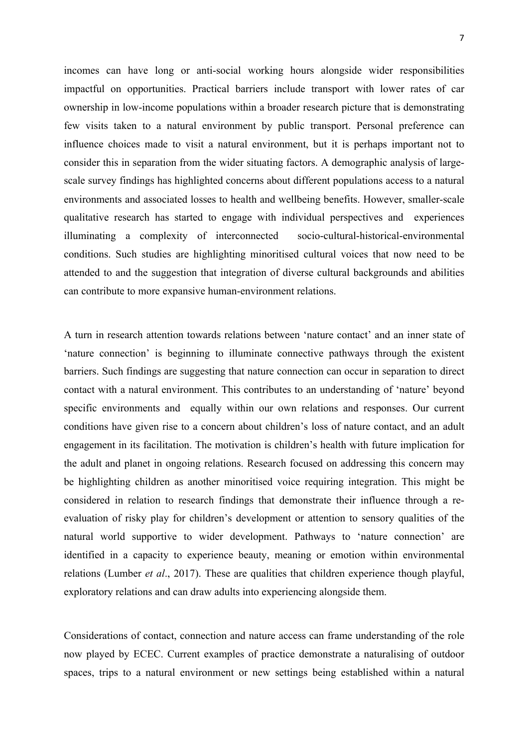incomes can have long or anti-social working hours alongside wider responsibilities impactful on opportunities. Practical barriers include transport with lower rates of car ownership in low-income populations within a broader research picture that is demonstrating few visits taken to a natural environment by public transport. Personal preference can influence choices made to visit a natural environment, but it is perhaps important not to consider this in separation from the wider situating factors. A demographic analysis of largescale survey findings has highlighted concerns about different populations access to a natural environments and associated losses to health and wellbeing benefits. However, smaller-scale qualitative research has started to engage with individual perspectives and experiences illuminating a complexity of interconnected socio-cultural-historical-environmental conditions. Such studies are highlighting minoritised cultural voices that now need to be attended to and the suggestion that integration of diverse cultural backgrounds and abilities can contribute to more expansive human-environment relations.

A turn in research attention towards relations between 'nature contact' and an inner state of 'nature connection' is beginning to illuminate connective pathways through the existent barriers. Such findings are suggesting that nature connection can occur in separation to direct contact with a natural environment. This contributes to an understanding of 'nature' beyond specific environments and equally within our own relations and responses. Our current conditions have given rise to a concern about children's loss of nature contact, and an adult engagement in its facilitation. The motivation is children's health with future implication for the adult and planet in ongoing relations. Research focused on addressing this concern may be highlighting children as another minoritised voice requiring integration. This might be considered in relation to research findings that demonstrate their influence through a reevaluation of risky play for children's development or attention to sensory qualities of the natural world supportive to wider development. Pathways to 'nature connection' are identified in a capacity to experience beauty, meaning or emotion within environmental relations (Lumber *et al*., 2017). These are qualities that children experience though playful, exploratory relations and can draw adults into experiencing alongside them.

Considerations of contact, connection and nature access can frame understanding of the role now played by ECEC. Current examples of practice demonstrate a naturalising of outdoor spaces, trips to a natural environment or new settings being established within a natural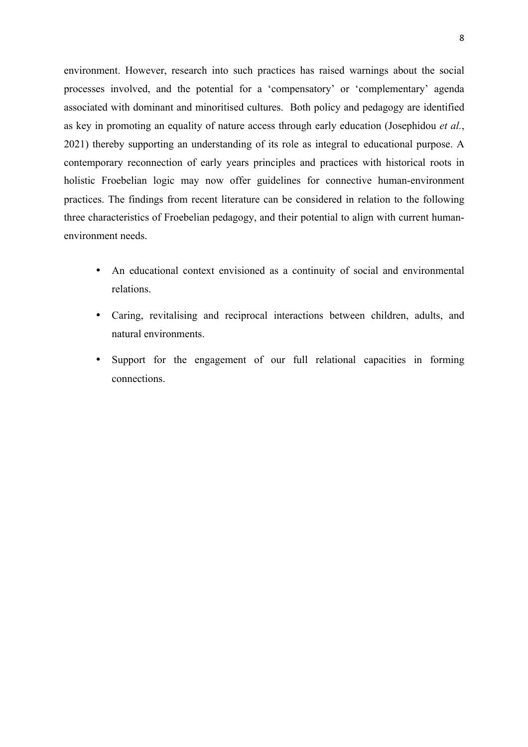environment. However, research into such practices has raised warnings about the social processes involved, and the potential for a 'compensatory' or 'complementary' agenda associated with dominant and minoritised cultures. Both policy and pedagogy are identified as key in promoting an equality of nature access through early education (Josephidou *et al.*, 2021) thereby supporting an understanding of its role as integral to educational purpose. A contemporary reconnection of early years principles and practices with historical roots in holistic Froebelian logic may now offer guidelines for connective human-environment practices. The findings from recent literature can be considered in relation to the following three characteristics of Froebelian pedagogy, and their potential to align with current humanenvironment needs.

- An educational context envisioned as a continuity of social and environmental relations.
- Caring, revitalising and reciprocal interactions between children, adults, and natural environments.
- Support for the engagement of our full relational capacities in forming connections.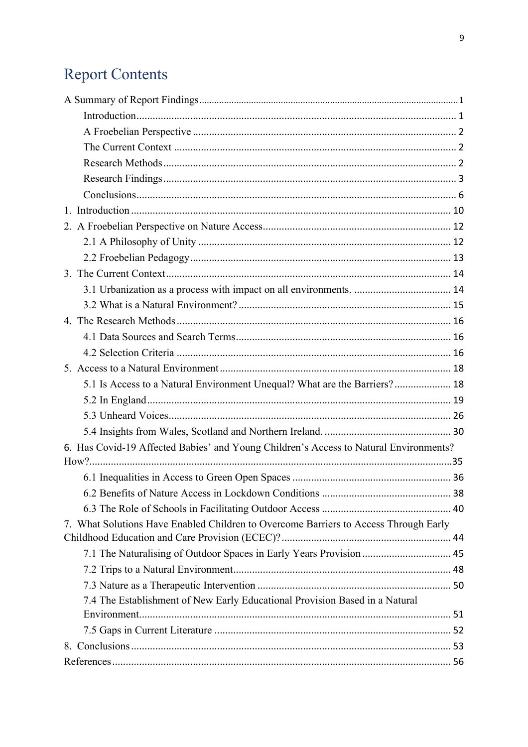# **Report Contents**

| 5.1 Is Access to a Natural Environment Unequal? What are the Barriers? 18             |  |
|---------------------------------------------------------------------------------------|--|
|                                                                                       |  |
|                                                                                       |  |
|                                                                                       |  |
| 6. Has Covid-19 Affected Babies' and Young Children's Access to Natural Environments? |  |
|                                                                                       |  |
|                                                                                       |  |
|                                                                                       |  |
|                                                                                       |  |
| 7. What Solutions Have Enabled Children to Overcome Barriers to Access Through Early  |  |
|                                                                                       |  |
| 7.1 The Naturalising of Outdoor Spaces in Early Years Provision  45                   |  |
|                                                                                       |  |
|                                                                                       |  |
| 7.4 The Establishment of New Early Educational Provision Based in a Natural           |  |
|                                                                                       |  |
|                                                                                       |  |
|                                                                                       |  |
|                                                                                       |  |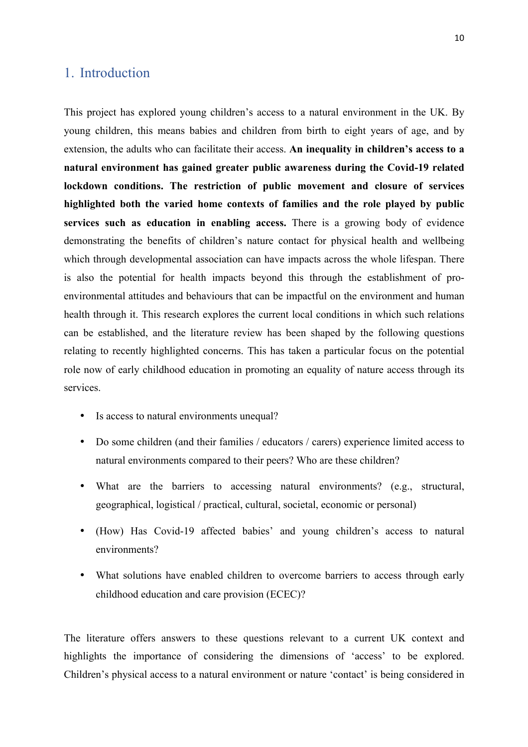### 1. Introduction

This project has explored young children's access to a natural environment in the UK. By young children, this means babies and children from birth to eight years of age, and by extension, the adults who can facilitate their access. **An inequality in children's access to a natural environment has gained greater public awareness during the Covid-19 related lockdown conditions. The restriction of public movement and closure of services highlighted both the varied home contexts of families and the role played by public services such as education in enabling access.** There is a growing body of evidence demonstrating the benefits of children's nature contact for physical health and wellbeing which through developmental association can have impacts across the whole lifespan. There is also the potential for health impacts beyond this through the establishment of proenvironmental attitudes and behaviours that can be impactful on the environment and human health through it. This research explores the current local conditions in which such relations can be established, and the literature review has been shaped by the following questions relating to recently highlighted concerns. This has taken a particular focus on the potential role now of early childhood education in promoting an equality of nature access through its services.

- Is access to natural environments unequal?
- Do some children (and their families / educators / carers) experience limited access to natural environments compared to their peers? Who are these children?
- What are the barriers to accessing natural environments? (e.g., structural, geographical, logistical / practical, cultural, societal, economic or personal)
- (How) Has Covid-19 affected babies' and young children's access to natural environments?
- What solutions have enabled children to overcome barriers to access through early childhood education and care provision (ECEC)?

The literature offers answers to these questions relevant to a current UK context and highlights the importance of considering the dimensions of 'access' to be explored. Children's physical access to a natural environment or nature 'contact' is being considered in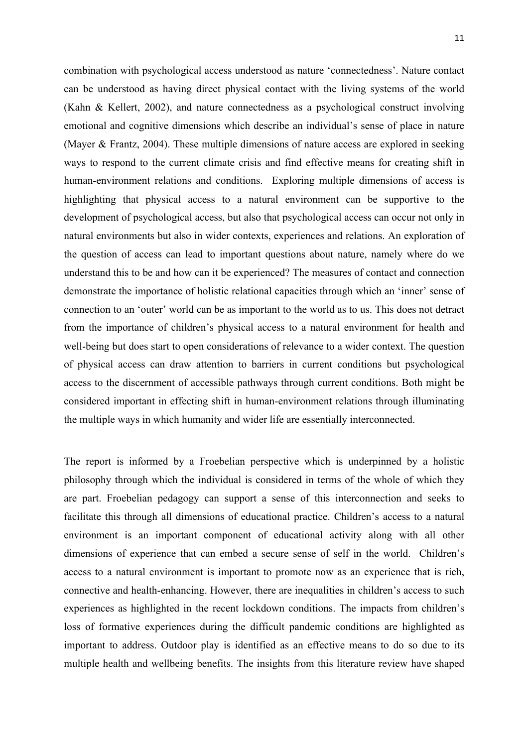combination with psychological access understood as nature 'connectedness'. Nature contact can be understood as having direct physical contact with the living systems of the world (Kahn & Kellert, 2002), and nature connectedness as a psychological construct involving emotional and cognitive dimensions which describe an individual's sense of place in nature (Mayer & Frantz, 2004). These multiple dimensions of nature access are explored in seeking ways to respond to the current climate crisis and find effective means for creating shift in human-environment relations and conditions. Exploring multiple dimensions of access is highlighting that physical access to a natural environment can be supportive to the development of psychological access, but also that psychological access can occur not only in natural environments but also in wider contexts, experiences and relations. An exploration of the question of access can lead to important questions about nature, namely where do we understand this to be and how can it be experienced? The measures of contact and connection demonstrate the importance of holistic relational capacities through which an 'inner' sense of connection to an 'outer' world can be as important to the world as to us. This does not detract from the importance of children's physical access to a natural environment for health and well-being but does start to open considerations of relevance to a wider context. The question of physical access can draw attention to barriers in current conditions but psychological access to the discernment of accessible pathways through current conditions. Both might be considered important in effecting shift in human-environment relations through illuminating the multiple ways in which humanity and wider life are essentially interconnected.

The report is informed by a Froebelian perspective which is underpinned by a holistic philosophy through which the individual is considered in terms of the whole of which they are part. Froebelian pedagogy can support a sense of this interconnection and seeks to facilitate this through all dimensions of educational practice. Children's access to a natural environment is an important component of educational activity along with all other dimensions of experience that can embed a secure sense of self in the world. Children's access to a natural environment is important to promote now as an experience that is rich, connective and health-enhancing. However, there are inequalities in children's access to such experiences as highlighted in the recent lockdown conditions. The impacts from children's loss of formative experiences during the difficult pandemic conditions are highlighted as important to address. Outdoor play is identified as an effective means to do so due to its multiple health and wellbeing benefits. The insights from this literature review have shaped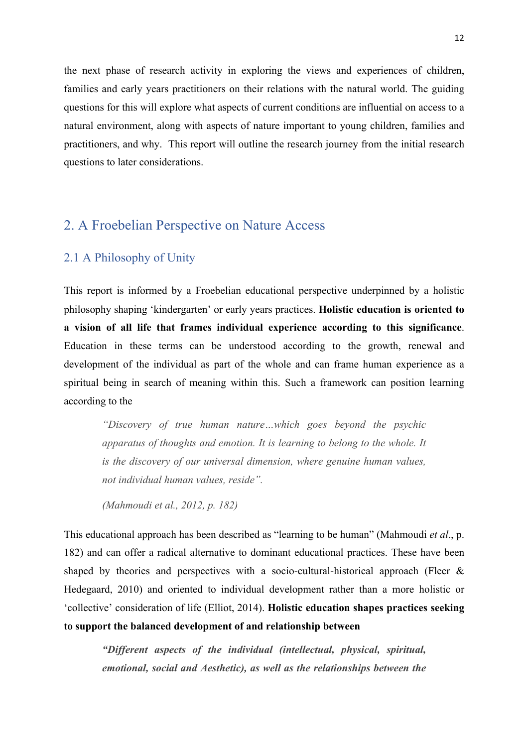the next phase of research activity in exploring the views and experiences of children, families and early years practitioners on their relations with the natural world. The guiding questions for this will explore what aspects of current conditions are influential on access to a natural environment, along with aspects of nature important to young children, families and practitioners, and why. This report will outline the research journey from the initial research questions to later considerations.

## 2. A Froebelian Perspective on Nature Access

### 2.1 A Philosophy of Unity

This report is informed by a Froebelian educational perspective underpinned by a holistic philosophy shaping 'kindergarten' or early years practices. **Holistic education is oriented to a vision of all life that frames individual experience according to this significance**. Education in these terms can be understood according to the growth, renewal and development of the individual as part of the whole and can frame human experience as a spiritual being in search of meaning within this. Such a framework can position learning according to the

*"Discovery of true human nature…which goes beyond the psychic apparatus of thoughts and emotion. It is learning to belong to the whole. It is the discovery of our universal dimension, where genuine human values, not individual human values, reside".*

*(Mahmoudi et al., 2012, p. 182)*

This educational approach has been described as "learning to be human" (Mahmoudi *et al*., p. 182) and can offer a radical alternative to dominant educational practices. These have been shaped by theories and perspectives with a socio-cultural-historical approach (Fleer  $\&$ Hedegaard, 2010) and oriented to individual development rather than a more holistic or 'collective' consideration of life (Elliot, 2014). **Holistic education shapes practices seeking to support the balanced development of and relationship between**

*"Different aspects of the individual (intellectual, physical, spiritual, emotional, social and Aesthetic), as well as the relationships between the*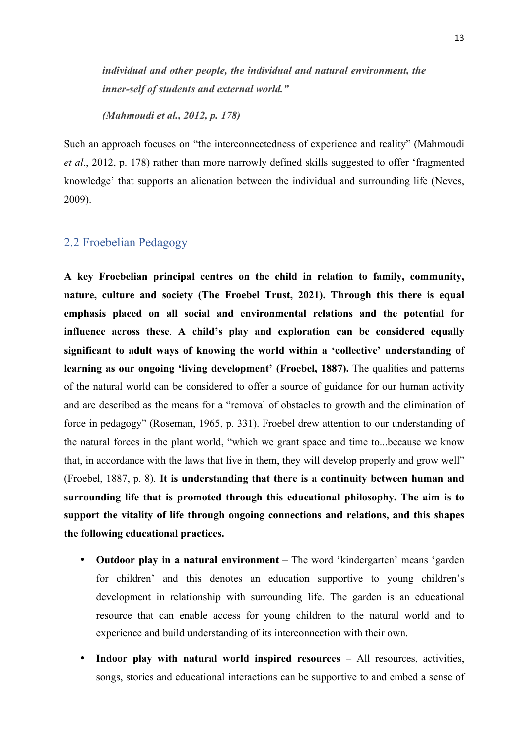*individual and other people, the individual and natural environment, the inner-self of students and external world."*

*(Mahmoudi et al., 2012, p. 178)*

Such an approach focuses on "the interconnectedness of experience and reality" (Mahmoudi *et al*., 2012, p. 178) rather than more narrowly defined skills suggested to offer 'fragmented knowledge' that supports an alienation between the individual and surrounding life (Neves, 2009).

### 2.2 Froebelian Pedagogy

**A key Froebelian principal centres on the child in relation to family, community, nature, culture and society (The Froebel Trust, 2021). Through this there is equal emphasis placed on all social and environmental relations and the potential for influence across these**. **A child's play and exploration can be considered equally significant to adult ways of knowing the world within a 'collective' understanding of learning as our ongoing 'living development' (Froebel, 1887).** The qualities and patterns of the natural world can be considered to offer a source of guidance for our human activity and are described as the means for a "removal of obstacles to growth and the elimination of force in pedagogy" (Roseman, 1965, p. 331). Froebel drew attention to our understanding of the natural forces in the plant world, "which we grant space and time to...because we know that, in accordance with the laws that live in them, they will develop properly and grow well" (Froebel, 1887, p. 8). **It is understanding that there is a continuity between human and surrounding life that is promoted through this educational philosophy. The aim is to support the vitality of life through ongoing connections and relations, and this shapes the following educational practices.**

- **Outdoor play in a natural environment** The word 'kindergarten' means 'garden for children' and this denotes an education supportive to young children's development in relationship with surrounding life. The garden is an educational resource that can enable access for young children to the natural world and to experience and build understanding of its interconnection with their own.
- **Indoor play with natural world inspired resources**  All resources, activities, songs, stories and educational interactions can be supportive to and embed a sense of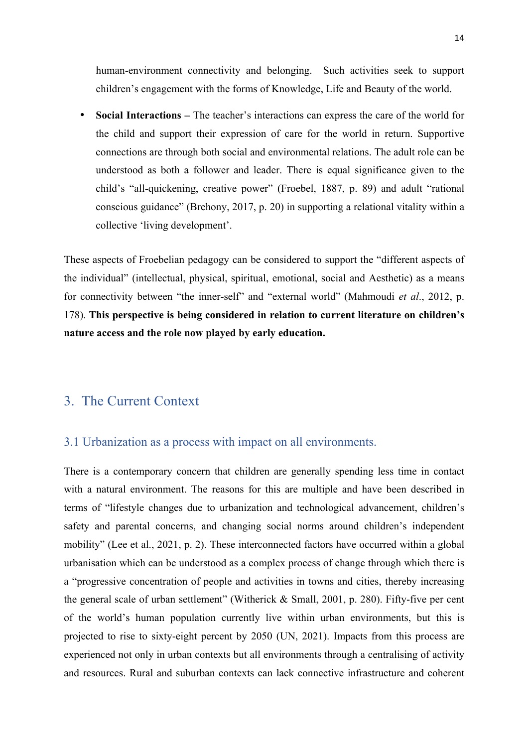human-environment connectivity and belonging. Such activities seek to support children's engagement with the forms of Knowledge, Life and Beauty of the world.

• **Social Interactions –** The teacher's interactions can express the care of the world for the child and support their expression of care for the world in return. Supportive connections are through both social and environmental relations. The adult role can be understood as both a follower and leader. There is equal significance given to the child's "all-quickening, creative power" (Froebel, 1887, p. 89) and adult "rational conscious guidance" (Brehony, 2017, p. 20) in supporting a relational vitality within a collective 'living development'.

These aspects of Froebelian pedagogy can be considered to support the "different aspects of the individual" (intellectual, physical, spiritual, emotional, social and Aesthetic) as a means for connectivity between "the inner-self" and "external world" (Mahmoudi *et al*., 2012, p. 178). **This perspective is being considered in relation to current literature on children's nature access and the role now played by early education.**

### 3. The Current Context

### 3.1 Urbanization as a process with impact on all environments.

There is a contemporary concern that children are generally spending less time in contact with a natural environment. The reasons for this are multiple and have been described in terms of "lifestyle changes due to urbanization and technological advancement, children's safety and parental concerns, and changing social norms around children's independent mobility" (Lee et al., 2021, p. 2). These interconnected factors have occurred within a global urbanisation which can be understood as a complex process of change through which there is a "progressive concentration of people and activities in towns and cities, thereby increasing the general scale of urban settlement" (Witherick & Small, 2001, p. 280). Fifty-five per cent of the world's human population currently live within urban environments, but this is projected to rise to sixty-eight percent by 2050 (UN, 2021). Impacts from this process are experienced not only in urban contexts but all environments through a centralising of activity and resources. Rural and suburban contexts can lack connective infrastructure and coherent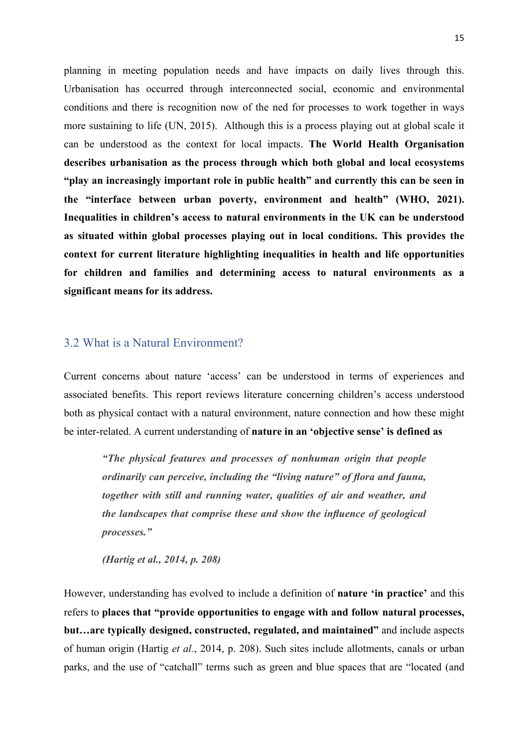planning in meeting population needs and have impacts on daily lives through this. Urbanisation has occurred through interconnected social, economic and environmental conditions and there is recognition now of the ned for processes to work together in ways more sustaining to life (UN, 2015). Although this is a process playing out at global scale it can be understood as the context for local impacts. **The World Health Organisation describes urbanisation as the process through which both global and local ecosystems "play an increasingly important role in public health" and currently this can be seen in the "interface between urban poverty, environment and health" (WHO, 2021). Inequalities in children's access to natural environments in the UK can be understood as situated within global processes playing out in local conditions. This provides the context for current literature highlighting inequalities in health and life opportunities for children and families and determining access to natural environments as a significant means for its address.**

### 3.2 What is a Natural Environment?

Current concerns about nature 'access' can be understood in terms of experiences and associated benefits. This report reviews literature concerning children's access understood both as physical contact with a natural environment, nature connection and how these might be inter-related. A current understanding of **nature in an 'objective sense' is defined as**

*"The physical features and processes of nonhuman origin that people ordinarily can perceive, including the "living nature" of flora and fauna, together with still and running water, qualities of air and weather, and the landscapes that comprise these and show the influence of geological processes."*

*(Hartig et al., 2014, p. 208)*

However, understanding has evolved to include a definition of **nature 'in practice'** and this refers to **places that "provide opportunities to engage with and follow natural processes, but…are typically designed, constructed, regulated, and maintained"** and include aspects of human origin (Hartig *et al.*, 2014, p. 208). Such sites include allotments, canals or urban parks, and the use of "catchall" terms such as green and blue spaces that are "located (and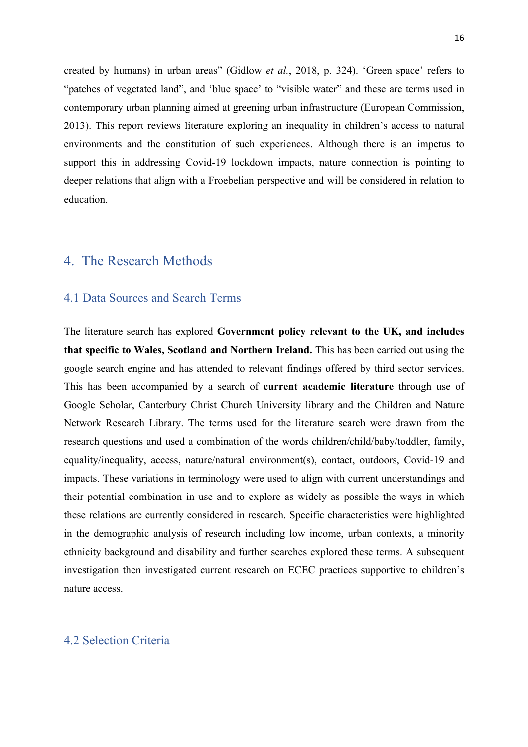created by humans) in urban areas" (Gidlow *et al.*, 2018, p. 324). 'Green space' refers to "patches of vegetated land", and 'blue space' to "visible water" and these are terms used in contemporary urban planning aimed at greening urban infrastructure (European Commission, 2013). This report reviews literature exploring an inequality in children's access to natural environments and the constitution of such experiences. Although there is an impetus to support this in addressing Covid-19 lockdown impacts, nature connection is pointing to deeper relations that align with a Froebelian perspective and will be considered in relation to education.

### 4. The Research Methods

### 4.1 Data Sources and Search Terms

The literature search has explored **Government policy relevant to the UK, and includes that specific to Wales, Scotland and Northern Ireland.** This has been carried out using the google search engine and has attended to relevant findings offered by third sector services. This has been accompanied by a search of **current academic literature** through use of Google Scholar, Canterbury Christ Church University library and the Children and Nature Network Research Library. The terms used for the literature search were drawn from the research questions and used a combination of the words children/child/baby/toddler, family, equality/inequality, access, nature/natural environment(s), contact, outdoors, Covid-19 and impacts. These variations in terminology were used to align with current understandings and their potential combination in use and to explore as widely as possible the ways in which these relations are currently considered in research. Specific characteristics were highlighted in the demographic analysis of research including low income, urban contexts, a minority ethnicity background and disability and further searches explored these terms. A subsequent investigation then investigated current research on ECEC practices supportive to children's nature access.

### 4.2 Selection Criteria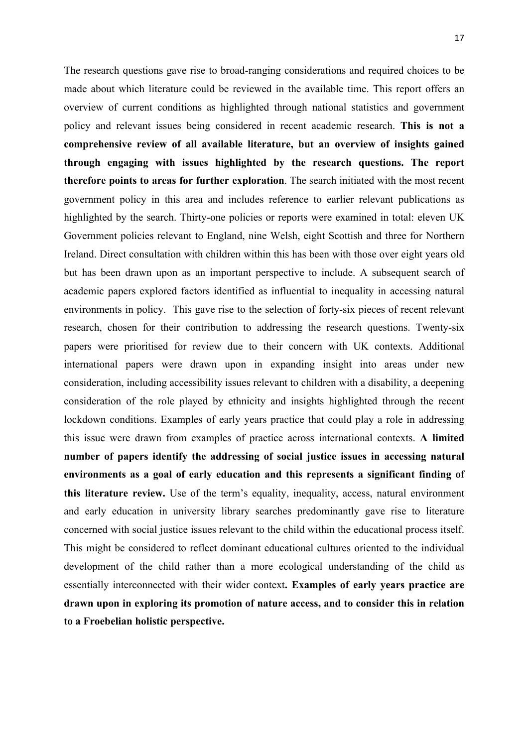The research questions gave rise to broad-ranging considerations and required choices to be made about which literature could be reviewed in the available time. This report offers an overview of current conditions as highlighted through national statistics and government policy and relevant issues being considered in recent academic research. **This is not a comprehensive review of all available literature, but an overview of insights gained through engaging with issues highlighted by the research questions. The report therefore points to areas for further exploration**. The search initiated with the most recent government policy in this area and includes reference to earlier relevant publications as highlighted by the search. Thirty-one policies or reports were examined in total: eleven UK Government policies relevant to England, nine Welsh, eight Scottish and three for Northern Ireland. Direct consultation with children within this has been with those over eight years old but has been drawn upon as an important perspective to include. A subsequent search of academic papers explored factors identified as influential to inequality in accessing natural environments in policy. This gave rise to the selection of forty-six pieces of recent relevant research, chosen for their contribution to addressing the research questions. Twenty-six papers were prioritised for review due to their concern with UK contexts. Additional international papers were drawn upon in expanding insight into areas under new consideration, including accessibility issues relevant to children with a disability, a deepening consideration of the role played by ethnicity and insights highlighted through the recent lockdown conditions. Examples of early years practice that could play a role in addressing this issue were drawn from examples of practice across international contexts. **A limited number of papers identify the addressing of social justice issues in accessing natural environments as a goal of early education and this represents a significant finding of this literature review.** Use of the term's equality, inequality, access, natural environment and early education in university library searches predominantly gave rise to literature concerned with social justice issues relevant to the child within the educational process itself. This might be considered to reflect dominant educational cultures oriented to the individual development of the child rather than a more ecological understanding of the child as essentially interconnected with their wider context**. Examples of early years practice are drawn upon in exploring its promotion of nature access, and to consider this in relation to a Froebelian holistic perspective.**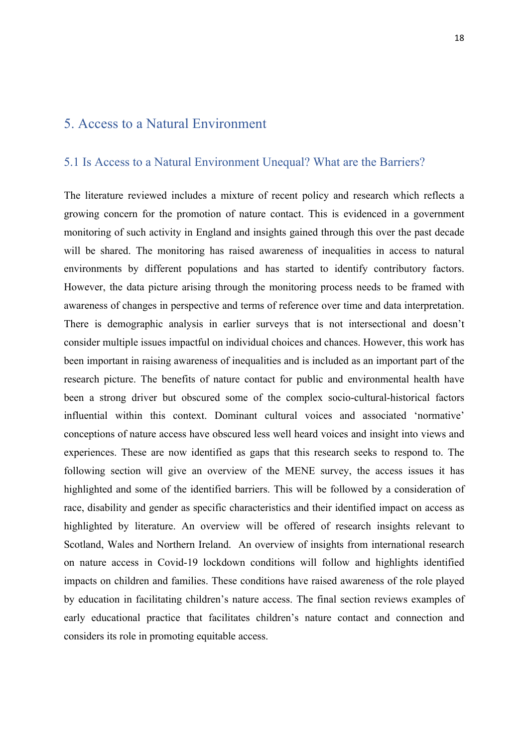### 5. Access to a Natural Environment

### 5.1 Is Access to a Natural Environment Unequal? What are the Barriers?

The literature reviewed includes a mixture of recent policy and research which reflects a growing concern for the promotion of nature contact. This is evidenced in a government monitoring of such activity in England and insights gained through this over the past decade will be shared. The monitoring has raised awareness of inequalities in access to natural environments by different populations and has started to identify contributory factors. However, the data picture arising through the monitoring process needs to be framed with awareness of changes in perspective and terms of reference over time and data interpretation. There is demographic analysis in earlier surveys that is not intersectional and doesn't consider multiple issues impactful on individual choices and chances. However, this work has been important in raising awareness of inequalities and is included as an important part of the research picture. The benefits of nature contact for public and environmental health have been a strong driver but obscured some of the complex socio-cultural-historical factors influential within this context. Dominant cultural voices and associated 'normative' conceptions of nature access have obscured less well heard voices and insight into views and experiences. These are now identified as gaps that this research seeks to respond to. The following section will give an overview of the MENE survey, the access issues it has highlighted and some of the identified barriers. This will be followed by a consideration of race, disability and gender as specific characteristics and their identified impact on access as highlighted by literature. An overview will be offered of research insights relevant to Scotland, Wales and Northern Ireland. An overview of insights from international research on nature access in Covid-19 lockdown conditions will follow and highlights identified impacts on children and families. These conditions have raised awareness of the role played by education in facilitating children's nature access. The final section reviews examples of early educational practice that facilitates children's nature contact and connection and considers its role in promoting equitable access.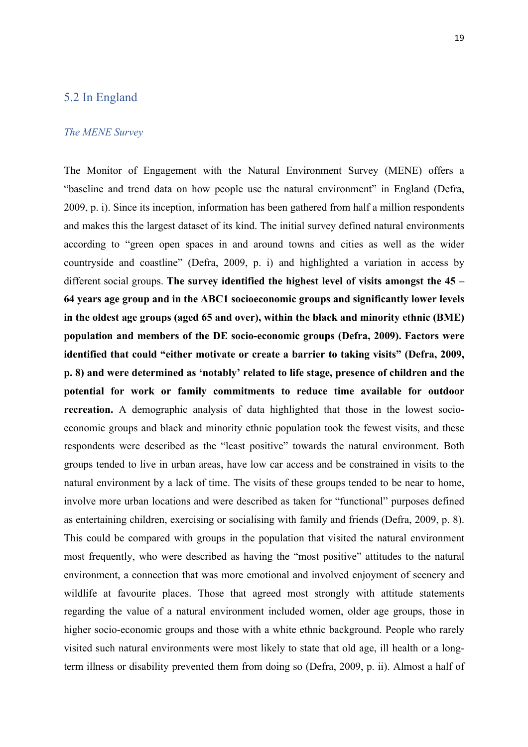### 5.2 In England

#### *The MENE Survey*

The Monitor of Engagement with the Natural Environment Survey (MENE) offers a "baseline and trend data on how people use the natural environment" in England (Defra, 2009, p. i). Since its inception, information has been gathered from half a million respondents and makes this the largest dataset of its kind. The initial survey defined natural environments according to "green open spaces in and around towns and cities as well as the wider countryside and coastline" (Defra, 2009, p. i) and highlighted a variation in access by different social groups. **The survey identified the highest level of visits amongst the 45 – 64 years age group and in the ABC1 socioeconomic groups and significantly lower levels in the oldest age groups (aged 65 and over), within the black and minority ethnic (BME) population and members of the DE socio-economic groups (Defra, 2009). Factors were identified that could "either motivate or create a barrier to taking visits" (Defra, 2009, p. 8) and were determined as 'notably' related to life stage, presence of children and the potential for work or family commitments to reduce time available for outdoor recreation.** A demographic analysis of data highlighted that those in the lowest socioeconomic groups and black and minority ethnic population took the fewest visits, and these respondents were described as the "least positive" towards the natural environment. Both groups tended to live in urban areas, have low car access and be constrained in visits to the natural environment by a lack of time. The visits of these groups tended to be near to home, involve more urban locations and were described as taken for "functional" purposes defined as entertaining children, exercising or socialising with family and friends (Defra, 2009, p. 8). This could be compared with groups in the population that visited the natural environment most frequently, who were described as having the "most positive" attitudes to the natural environment, a connection that was more emotional and involved enjoyment of scenery and wildlife at favourite places. Those that agreed most strongly with attitude statements regarding the value of a natural environment included women, older age groups, those in higher socio-economic groups and those with a white ethnic background. People who rarely visited such natural environments were most likely to state that old age, ill health or a longterm illness or disability prevented them from doing so (Defra, 2009, p. ii). Almost a half of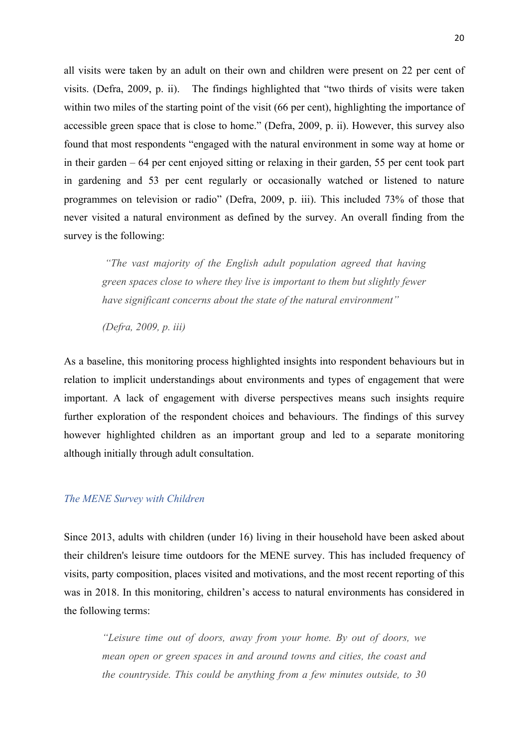all visits were taken by an adult on their own and children were present on 22 per cent of visits. (Defra, 2009, p. ii). The findings highlighted that "two thirds of visits were taken within two miles of the starting point of the visit (66 per cent), highlighting the importance of accessible green space that is close to home." (Defra, 2009, p. ii). However, this survey also found that most respondents "engaged with the natural environment in some way at home or in their garden – 64 per cent enjoyed sitting or relaxing in their garden, 55 per cent took part in gardening and 53 per cent regularly or occasionally watched or listened to nature programmes on television or radio" (Defra, 2009, p. iii). This included 73% of those that never visited a natural environment as defined by the survey. An overall finding from the survey is the following:

*"The vast majority of the English adult population agreed that having green spaces close to where they live is important to them but slightly fewer have significant concerns about the state of the natural environment"* 

*(Defra, 2009, p. iii)* 

As a baseline, this monitoring process highlighted insights into respondent behaviours but in relation to implicit understandings about environments and types of engagement that were important. A lack of engagement with diverse perspectives means such insights require further exploration of the respondent choices and behaviours. The findings of this survey however highlighted children as an important group and led to a separate monitoring although initially through adult consultation.

#### *The MENE Survey with Children*

Since 2013, adults with children (under 16) living in their household have been asked about their children's leisure time outdoors for the MENE survey. This has included frequency of visits, party composition, places visited and motivations, and the most recent reporting of this was in 2018. In this monitoring, children's access to natural environments has considered in the following terms:

*"Leisure time out of doors, away from your home. By out of doors, we mean open or green spaces in and around towns and cities, the coast and the countryside. This could be anything from a few minutes outside, to 30*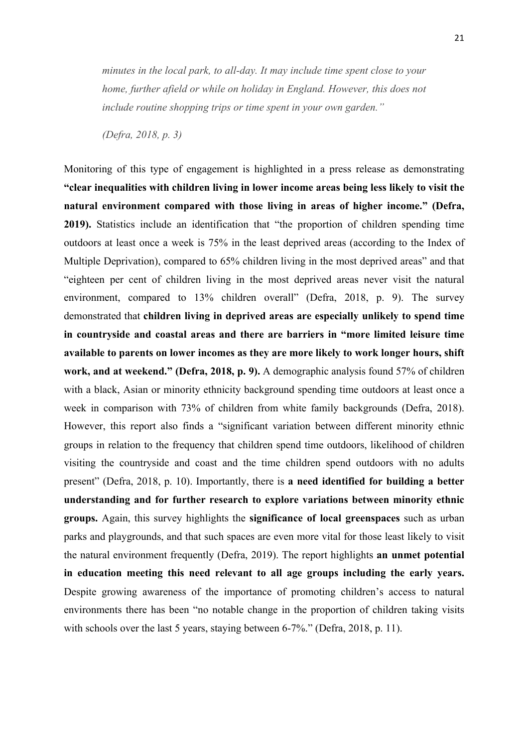*minutes in the local park, to all-day. It may include time spent close to your home, further afield or while on holiday in England. However, this does not include routine shopping trips or time spent in your own garden."*

*(Defra, 2018, p. 3)* 

Monitoring of this type of engagement is highlighted in a press release as demonstrating **"clear inequalities with children living in lower income areas being less likely to visit the natural environment compared with those living in areas of higher income." (Defra, 2019).** Statistics include an identification that "the proportion of children spending time outdoors at least once a week is 75% in the least deprived areas (according to the Index of Multiple Deprivation), compared to 65% children living in the most deprived areas" and that "eighteen per cent of children living in the most deprived areas never visit the natural environment, compared to 13% children overall" (Defra, 2018, p. 9). The survey demonstrated that **children living in deprived areas are especially unlikely to spend time in countryside and coastal areas and there are barriers in "more limited leisure time available to parents on lower incomes as they are more likely to work longer hours, shift work, and at weekend." (Defra, 2018, p. 9).** A demographic analysis found 57% of children with a black, Asian or minority ethnicity background spending time outdoors at least once a week in comparison with 73% of children from white family backgrounds (Defra, 2018). However, this report also finds a "significant variation between different minority ethnic groups in relation to the frequency that children spend time outdoors, likelihood of children visiting the countryside and coast and the time children spend outdoors with no adults present" (Defra, 2018, p. 10). Importantly, there is **a need identified for building a better understanding and for further research to explore variations between minority ethnic groups.** Again, this survey highlights the **significance of local greenspaces** such as urban parks and playgrounds, and that such spaces are even more vital for those least likely to visit the natural environment frequently (Defra, 2019). The report highlights **an unmet potential in education meeting this need relevant to all age groups including the early years.** Despite growing awareness of the importance of promoting children's access to natural environments there has been "no notable change in the proportion of children taking visits with schools over the last 5 years, staying between 6-7%." (Defra, 2018, p. 11).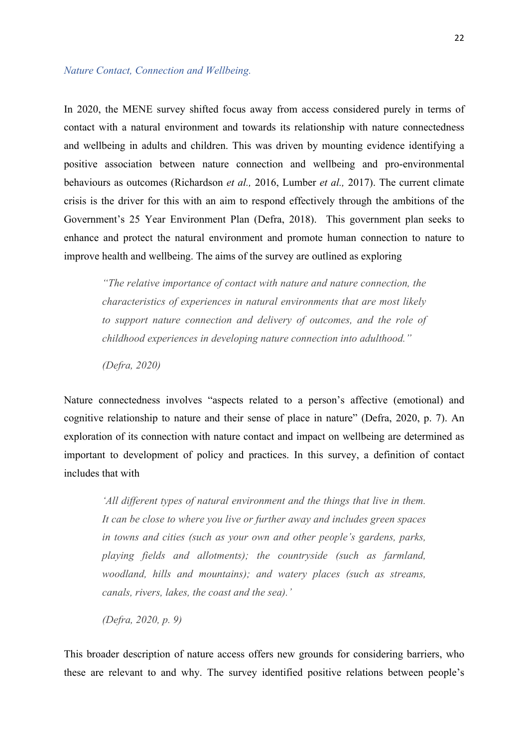#### *Nature Contact, Connection and Wellbeing.*

In 2020, the MENE survey shifted focus away from access considered purely in terms of contact with a natural environment and towards its relationship with nature connectedness and wellbeing in adults and children. This was driven by mounting evidence identifying a positive association between nature connection and wellbeing and pro-environmental behaviours as outcomes (Richardson *et al.,* 2016, Lumber *et al.,* 2017). The current climate crisis is the driver for this with an aim to respond effectively through the ambitions of the Government's 25 Year Environment Plan (Defra, 2018). This government plan seeks to enhance and protect the natural environment and promote human connection to nature to improve health and wellbeing. The aims of the survey are outlined as exploring

*"The relative importance of contact with nature and nature connection, the characteristics of experiences in natural environments that are most likely to support nature connection and delivery of outcomes, and the role of childhood experiences in developing nature connection into adulthood."* 

*(Defra, 2020)*

Nature connectedness involves "aspects related to a person's affective (emotional) and cognitive relationship to nature and their sense of place in nature" (Defra, 2020, p. 7). An exploration of its connection with nature contact and impact on wellbeing are determined as important to development of policy and practices. In this survey, a definition of contact includes that with

*'All different types of natural environment and the things that live in them. It can be close to where you live or further away and includes green spaces in towns and cities (such as your own and other people's gardens, parks, playing fields and allotments); the countryside (such as farmland, woodland, hills and mountains); and watery places (such as streams, canals, rivers, lakes, the coast and the sea).'*

*(Defra, 2020, p. 9)*

This broader description of nature access offers new grounds for considering barriers, who these are relevant to and why. The survey identified positive relations between people's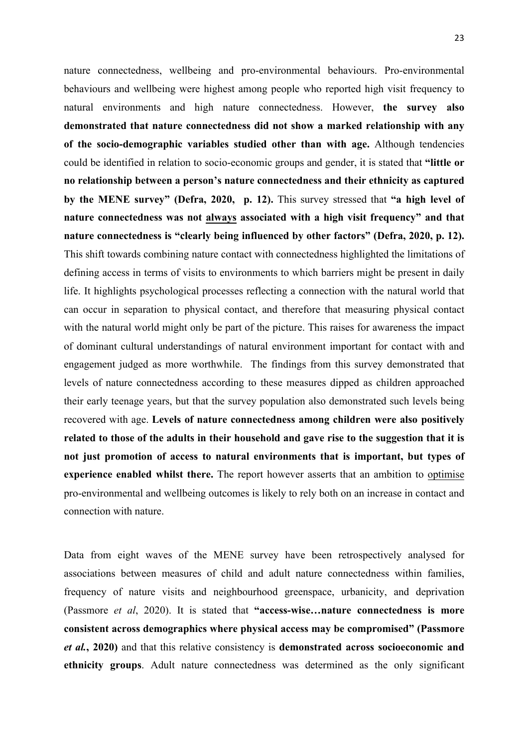nature connectedness, wellbeing and pro-environmental behaviours. Pro-environmental behaviours and wellbeing were highest among people who reported high visit frequency to natural environments and high nature connectedness. However, **the survey also demonstrated that nature connectedness did not show a marked relationship with any of the socio-demographic variables studied other than with age.** Although tendencies could be identified in relation to socio-economic groups and gender, it is stated that **"little or no relationship between a person's nature connectedness and their ethnicity as captured by the MENE survey" (Defra, 2020, p. 12).** This survey stressed that **"a high level of nature connectedness was not always associated with a high visit frequency" and that nature connectedness is "clearly being influenced by other factors" (Defra, 2020, p. 12).**  This shift towards combining nature contact with connectedness highlighted the limitations of defining access in terms of visits to environments to which barriers might be present in daily life. It highlights psychological processes reflecting a connection with the natural world that can occur in separation to physical contact, and therefore that measuring physical contact with the natural world might only be part of the picture. This raises for awareness the impact of dominant cultural understandings of natural environment important for contact with and engagement judged as more worthwhile. The findings from this survey demonstrated that levels of nature connectedness according to these measures dipped as children approached their early teenage years, but that the survey population also demonstrated such levels being recovered with age. **Levels of nature connectedness among children were also positively related to those of the adults in their household and gave rise to the suggestion that it is not just promotion of access to natural environments that is important, but types of experience enabled whilst there.** The report however asserts that an ambition to optimise pro-environmental and wellbeing outcomes is likely to rely both on an increase in contact and connection with nature.

Data from eight waves of the MENE survey have been retrospectively analysed for associations between measures of child and adult nature connectedness within families, frequency of nature visits and neighbourhood greenspace, urbanicity, and deprivation (Passmore *et al*, 2020). It is stated that **"access-wise…nature connectedness is more consistent across demographics where physical access may be compromised" (Passmore**  *et al.***, 2020)** and that this relative consistency is **demonstrated across socioeconomic and ethnicity groups**. Adult nature connectedness was determined as the only significant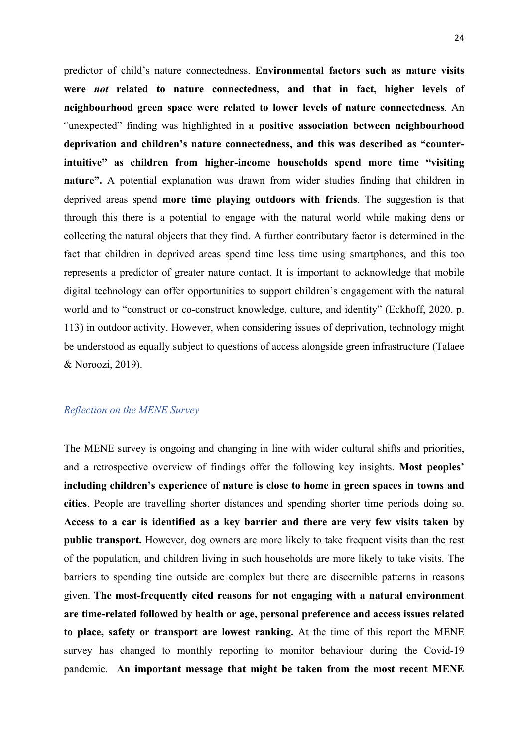predictor of child's nature connectedness. **Environmental factors such as nature visits were** *not* **related to nature connectedness, and that in fact, higher levels of neighbourhood green space were related to lower levels of nature connectedness**. An "unexpected" finding was highlighted in **a positive association between neighbourhood deprivation and children's nature connectedness, and this was described as "counterintuitive" as children from higher-income households spend more time "visiting nature".** A potential explanation was drawn from wider studies finding that children in deprived areas spend **more time playing outdoors with friends**. The suggestion is that through this there is a potential to engage with the natural world while making dens or collecting the natural objects that they find. A further contributary factor is determined in the fact that children in deprived areas spend time less time using smartphones, and this too represents a predictor of greater nature contact. It is important to acknowledge that mobile digital technology can offer opportunities to support children's engagement with the natural world and to "construct or co-construct knowledge, culture, and identity" (Eckhoff, 2020, p. 113) in outdoor activity. However, when considering issues of deprivation, technology might be understood as equally subject to questions of access alongside green infrastructure (Talaee & Noroozi, 2019).

#### *Reflection on the MENE Survey*

The MENE survey is ongoing and changing in line with wider cultural shifts and priorities, and a retrospective overview of findings offer the following key insights. **Most peoples' including children's experience of nature is close to home in green spaces in towns and cities**. People are travelling shorter distances and spending shorter time periods doing so. **Access to a car is identified as a key barrier and there are very few visits taken by public transport.** However, dog owners are more likely to take frequent visits than the rest of the population, and children living in such households are more likely to take visits. The barriers to spending tine outside are complex but there are discernible patterns in reasons given. **The most-frequently cited reasons for not engaging with a natural environment are time-related followed by health or age, personal preference and access issues related to place, safety or transport are lowest ranking.** At the time of this report the MENE survey has changed to monthly reporting to monitor behaviour during the Covid-19 pandemic. **An important message that might be taken from the most recent MENE**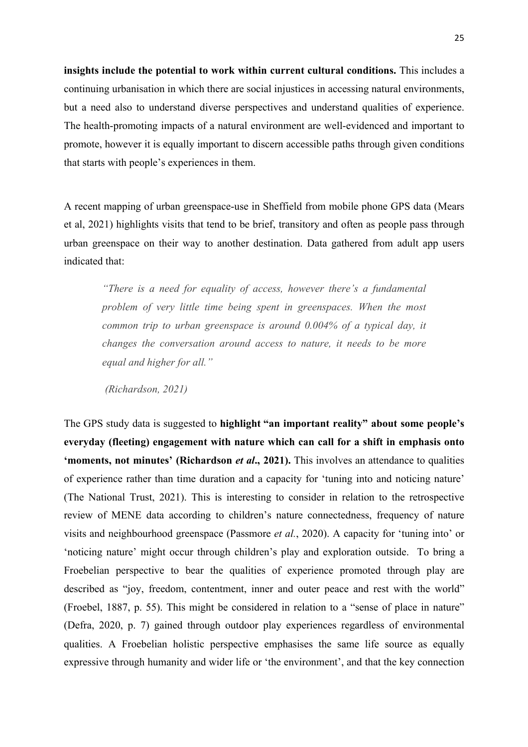**insights include the potential to work within current cultural conditions.** This includes a continuing urbanisation in which there are social injustices in accessing natural environments, but a need also to understand diverse perspectives and understand qualities of experience. The health-promoting impacts of a natural environment are well-evidenced and important to promote, however it is equally important to discern accessible paths through given conditions that starts with people's experiences in them.

A recent mapping of urban greenspace-use in Sheffield from mobile phone GPS data (Mears et al, 2021) highlights visits that tend to be brief, transitory and often as people pass through urban greenspace on their way to another destination. Data gathered from adult app users indicated that:

*"There is a need for equality of access, however there's a fundamental problem of very little time being spent in greenspaces. When the most common trip to urban greenspace is around 0.004% of a typical day, it changes the conversation around access to nature, it needs to be more equal and higher for all."*

*(Richardson, 2021)*

The GPS study data is suggested to **highlight "an important reality" about some people's everyday (fleeting) engagement with nature which can call for a shift in emphasis onto 'moments, not minutes' (Richardson** *et al.***, 2021).** This involves an attendance to qualities of experience rather than time duration and a capacity for 'tuning into and noticing nature' (The National Trust, 2021). This is interesting to consider in relation to the retrospective review of MENE data according to children's nature connectedness, frequency of nature visits and neighbourhood greenspace (Passmore *et al.*, 2020). A capacity for 'tuning into' or 'noticing nature' might occur through children's play and exploration outside. To bring a Froebelian perspective to bear the qualities of experience promoted through play are described as "joy, freedom, contentment, inner and outer peace and rest with the world" (Froebel, 1887, p. 55). This might be considered in relation to a "sense of place in nature" (Defra, 2020, p. 7) gained through outdoor play experiences regardless of environmental qualities. A Froebelian holistic perspective emphasises the same life source as equally expressive through humanity and wider life or 'the environment', and that the key connection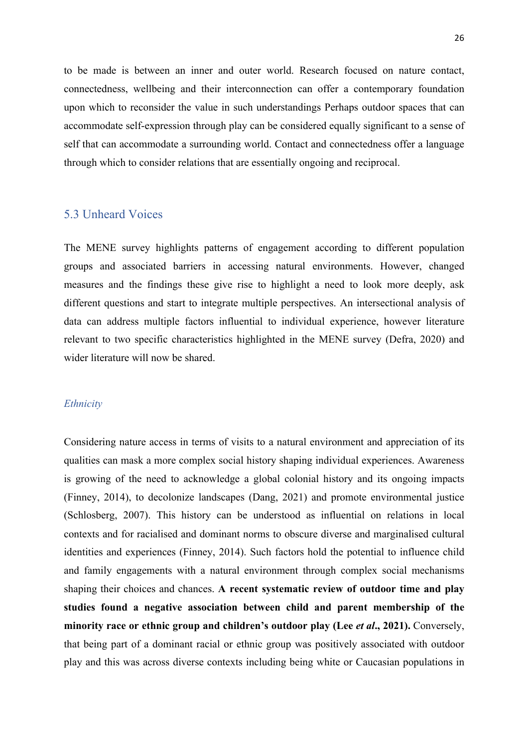to be made is between an inner and outer world. Research focused on nature contact, connectedness, wellbeing and their interconnection can offer a contemporary foundation upon which to reconsider the value in such understandings Perhaps outdoor spaces that can accommodate self-expression through play can be considered equally significant to a sense of self that can accommodate a surrounding world. Contact and connectedness offer a language through which to consider relations that are essentially ongoing and reciprocal.

### 5.3 Unheard Voices

The MENE survey highlights patterns of engagement according to different population groups and associated barriers in accessing natural environments. However, changed measures and the findings these give rise to highlight a need to look more deeply, ask different questions and start to integrate multiple perspectives. An intersectional analysis of data can address multiple factors influential to individual experience, however literature relevant to two specific characteristics highlighted in the MENE survey (Defra, 2020) and wider literature will now be shared.

#### *Ethnicity*

Considering nature access in terms of visits to a natural environment and appreciation of its qualities can mask a more complex social history shaping individual experiences. Awareness is growing of the need to acknowledge a global colonial history and its ongoing impacts (Finney, 2014), to decolonize landscapes (Dang, 2021) and promote environmental justice (Schlosberg, 2007). This history can be understood as influential on relations in local contexts and for racialised and dominant norms to obscure diverse and marginalised cultural identities and experiences (Finney, 2014). Such factors hold the potential to influence child and family engagements with a natural environment through complex social mechanisms shaping their choices and chances. **A recent systematic review of outdoor time and play studies found a negative association between child and parent membership of the minority race or ethnic group and children's outdoor play (Lee** *et al***., 2021).** Conversely, that being part of a dominant racial or ethnic group was positively associated with outdoor play and this was across diverse contexts including being white or Caucasian populations in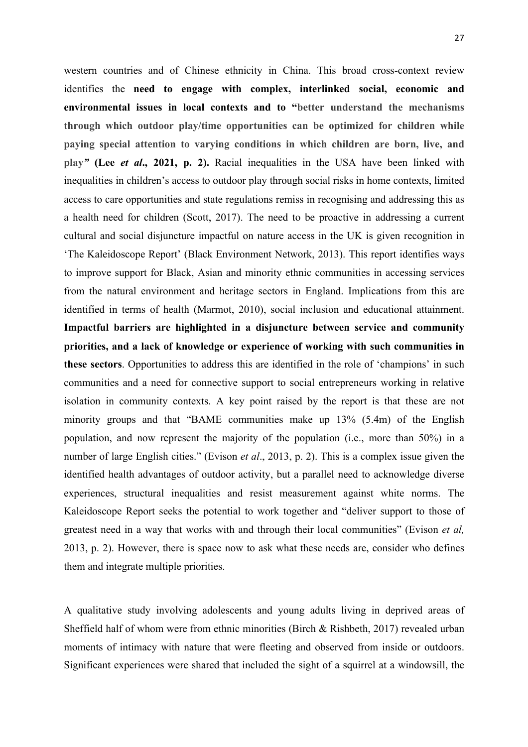western countries and of Chinese ethnicity in China. This broad cross-context review identifies the **need to engage with complex, interlinked social, economic and environmental issues in local contexts and to "better understand the mechanisms through which outdoor play/time opportunities can be optimized for children while paying special attention to varying conditions in which children are born, live, and play***"* **(Lee** *et al***., 2021, p. 2).** Racial inequalities in the USA have been linked with inequalities in children's access to outdoor play through social risks in home contexts, limited access to care opportunities and state regulations remiss in recognising and addressing this as a health need for children (Scott, 2017). The need to be proactive in addressing a current cultural and social disjuncture impactful on nature access in the UK is given recognition in 'The Kaleidoscope Report' (Black Environment Network, 2013). This report identifies ways to improve support for Black, Asian and minority ethnic communities in accessing services from the natural environment and heritage sectors in England. Implications from this are identified in terms of health (Marmot, 2010), social inclusion and educational attainment. **Impactful barriers are highlighted in a disjuncture between service and community priorities, and a lack of knowledge or experience of working with such communities in these sectors**. Opportunities to address this are identified in the role of 'champions' in such communities and a need for connective support to social entrepreneurs working in relative isolation in community contexts. A key point raised by the report is that these are not minority groups and that "BAME communities make up 13% (5.4m) of the English population, and now represent the majority of the population (i.e., more than 50%) in a number of large English cities." (Evison *et al*., 2013, p. 2). This is a complex issue given the identified health advantages of outdoor activity, but a parallel need to acknowledge diverse experiences, structural inequalities and resist measurement against white norms. The Kaleidoscope Report seeks the potential to work together and "deliver support to those of greatest need in a way that works with and through their local communities" (Evison *et al,* 2013, p. 2). However, there is space now to ask what these needs are, consider who defines them and integrate multiple priorities.

A qualitative study involving adolescents and young adults living in deprived areas of Sheffield half of whom were from ethnic minorities (Birch & Rishbeth, 2017) revealed urban moments of intimacy with nature that were fleeting and observed from inside or outdoors. Significant experiences were shared that included the sight of a squirrel at a windowsill, the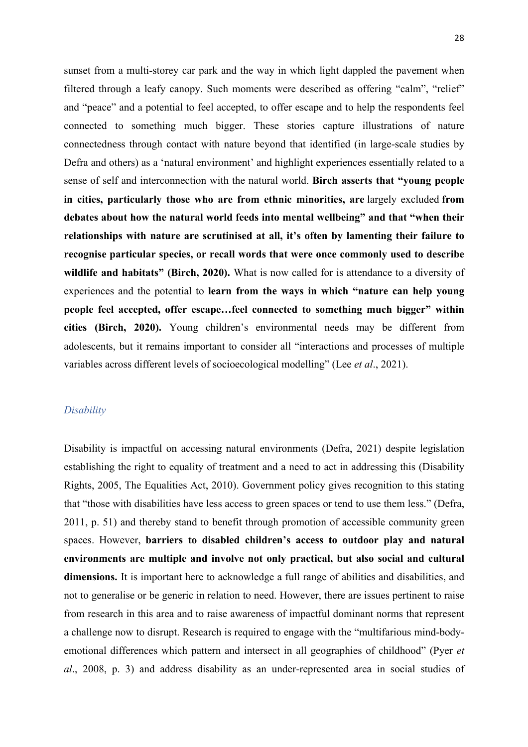sunset from a multi-storey car park and the way in which light dappled the pavement when filtered through a leafy canopy. Such moments were described as offering "calm", "relief" and "peace" and a potential to feel accepted, to offer escape and to help the respondents feel connected to something much bigger. These stories capture illustrations of nature connectedness through contact with nature beyond that identified (in large-scale studies by Defra and others) as a 'natural environment' and highlight experiences essentially related to a sense of self and interconnection with the natural world. **Birch asserts that "young people in cities, particularly those who are from ethnic minorities, are** largely excluded **from debates about how the natural world feeds into mental wellbeing" and that "when their relationships with nature are scrutinised at all, it's often by lamenting their failure to recognise particular species, or recall words that were once commonly used to describe wildlife and habitats" (Birch, 2020).** What is now called for is attendance to a diversity of experiences and the potential to **learn from the ways in which "nature can help young people feel accepted, offer escape…feel connected to something much bigger" within cities (Birch, 2020).** Young children's environmental needs may be different from adolescents, but it remains important to consider all "interactions and processes of multiple variables across different levels of socioecological modelling" (Lee *et al*., 2021).

#### *Disability*

Disability is impactful on accessing natural environments (Defra, 2021) despite legislation establishing the right to equality of treatment and a need to act in addressing this (Disability Rights, 2005, The Equalities Act, 2010). Government policy gives recognition to this stating that "those with disabilities have less access to green spaces or tend to use them less." (Defra, 2011, p. 51) and thereby stand to benefit through promotion of accessible community green spaces. However, **barriers to disabled children's access to outdoor play and natural environments are multiple and involve not only practical, but also social and cultural dimensions.** It is important here to acknowledge a full range of abilities and disabilities, and not to generalise or be generic in relation to need. However, there are issues pertinent to raise from research in this area and to raise awareness of impactful dominant norms that represent a challenge now to disrupt. Research is required to engage with the "multifarious mind-bodyemotional differences which pattern and intersect in all geographies of childhood" (Pyer *et al*., 2008, p. 3) and address disability as an under-represented area in social studies of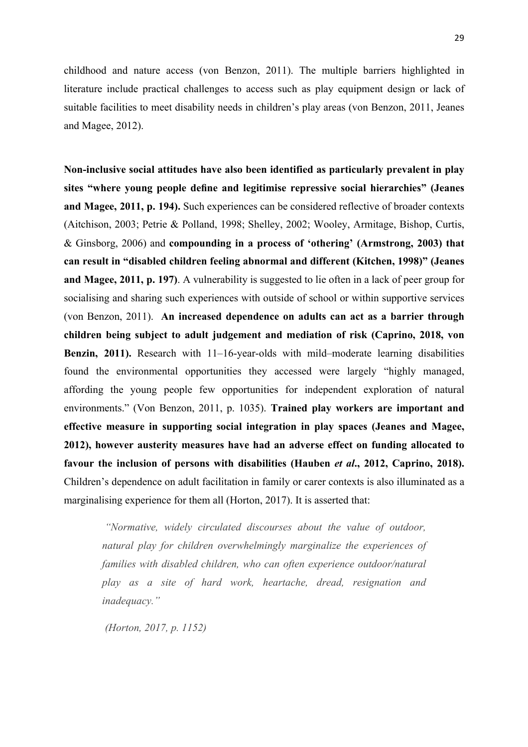childhood and nature access (von Benzon, 2011). The multiple barriers highlighted in literature include practical challenges to access such as play equipment design or lack of suitable facilities to meet disability needs in children's play areas (von Benzon, 2011, Jeanes and Magee, 2012).

**Non-inclusive social attitudes have also been identified as particularly prevalent in play sites "where young people define and legitimise repressive social hierarchies" (Jeanes and Magee, 2011, p. 194).** Such experiences can be considered reflective of broader contexts (Aitchison, 2003; Petrie & Polland, 1998; Shelley, 2002; Wooley, Armitage, Bishop, Curtis, & Ginsborg, 2006) and **compounding in a process of 'othering' (Armstrong, 2003) that can result in "disabled children feeling abnormal and different (Kitchen, 1998)" (Jeanes and Magee, 2011, p. 197)**. A vulnerability is suggested to lie often in a lack of peer group for socialising and sharing such experiences with outside of school or within supportive services (von Benzon, 2011). **An increased dependence on adults can act as a barrier through children being subject to adult judgement and mediation of risk (Caprino, 2018, von Benzin, 2011).** Research with 11–16-year-olds with mild–moderate learning disabilities found the environmental opportunities they accessed were largely "highly managed, affording the young people few opportunities for independent exploration of natural environments." (Von Benzon, 2011, p. 1035). **Trained play workers are important and effective measure in supporting social integration in play spaces (Jeanes and Magee, 2012), however austerity measures have had an adverse effect on funding allocated to favour the inclusion of persons with disabilities (Hauben** *et al***., 2012, Caprino, 2018).** Children's dependence on adult facilitation in family or carer contexts is also illuminated as a marginalising experience for them all (Horton, 2017). It is asserted that:

*"Normative, widely circulated discourses about the value of outdoor, natural play for children overwhelmingly marginalize the experiences of families with disabled children, who can often experience outdoor/natural play as a site of hard work, heartache, dread, resignation and inadequacy."*

*(Horton, 2017, p. 1152)*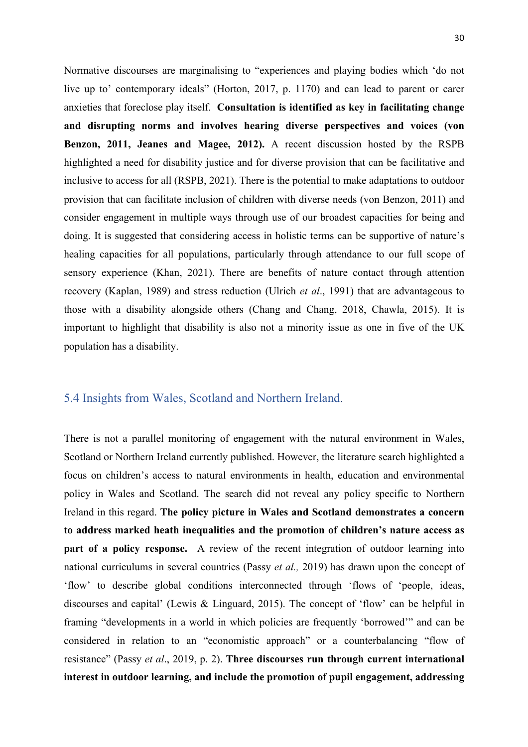Normative discourses are marginalising to "experiences and playing bodies which 'do not live up to' contemporary ideals" (Horton, 2017, p. 1170) and can lead to parent or carer anxieties that foreclose play itself. **Consultation is identified as key in facilitating change and disrupting norms and involves hearing diverse perspectives and voices (von Benzon, 2011, Jeanes and Magee, 2012).** A recent discussion hosted by the RSPB highlighted a need for disability justice and for diverse provision that can be facilitative and inclusive to access for all (RSPB, 2021). There is the potential to make adaptations to outdoor provision that can facilitate inclusion of children with diverse needs (von Benzon, 2011) and consider engagement in multiple ways through use of our broadest capacities for being and doing. It is suggested that considering access in holistic terms can be supportive of nature's healing capacities for all populations, particularly through attendance to our full scope of sensory experience (Khan, 2021). There are benefits of nature contact through attention recovery (Kaplan, 1989) and stress reduction (Ulrich *et al*., 1991) that are advantageous to those with a disability alongside others (Chang and Chang, 2018, Chawla, 2015). It is important to highlight that disability is also not a minority issue as one in five of the UK population has a disability.

### 5.4 Insights from Wales, Scotland and Northern Ireland.

There is not a parallel monitoring of engagement with the natural environment in Wales, Scotland or Northern Ireland currently published. However, the literature search highlighted a focus on children's access to natural environments in health, education and environmental policy in Wales and Scotland. The search did not reveal any policy specific to Northern Ireland in this regard. **The policy picture in Wales and Scotland demonstrates a concern to address marked heath inequalities and the promotion of children's nature access as part of a policy response.** A review of the recent integration of outdoor learning into national curriculums in several countries (Passy *et al.,* 2019) has drawn upon the concept of 'flow' to describe global conditions interconnected through 'flows of 'people, ideas, discourses and capital' (Lewis & Linguard, 2015). The concept of 'flow' can be helpful in framing "developments in a world in which policies are frequently 'borrowed'" and can be considered in relation to an "economistic approach" or a counterbalancing "flow of resistance" (Passy *et al*., 2019, p. 2). **Three discourses run through current international interest in outdoor learning, and include the promotion of pupil engagement, addressing**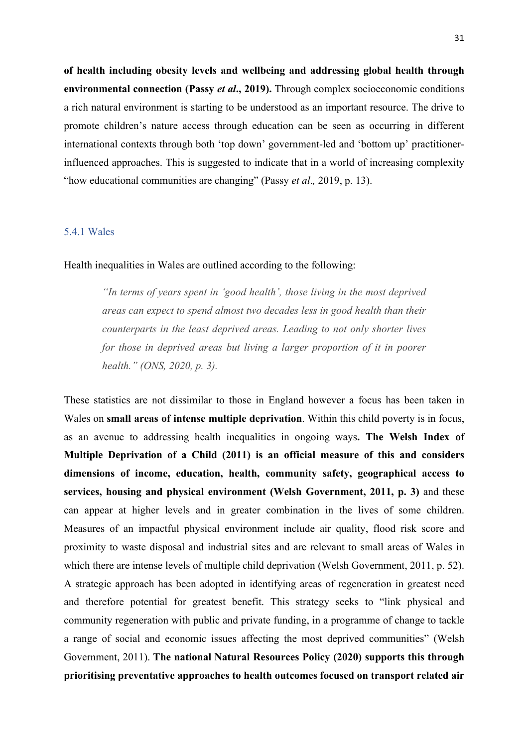**of health including obesity levels and wellbeing and addressing global health through environmental connection (Passy** *et al***., 2019).** Through complex socioeconomic conditions a rich natural environment is starting to be understood as an important resource. The drive to promote children's nature access through education can be seen as occurring in different international contexts through both 'top down' government-led and 'bottom up' practitionerinfluenced approaches. This is suggested to indicate that in a world of increasing complexity "how educational communities are changing" (Passy *et al*.*,* 2019, p. 13).

#### 5.4.1 Wales

Health inequalities in Wales are outlined according to the following:

*"In terms of years spent in 'good health', those living in the most deprived areas can expect to spend almost two decades less in good health than their counterparts in the least deprived areas. Leading to not only shorter lives for those in deprived areas but living a larger proportion of it in poorer health." (ONS, 2020, p. 3).* 

These statistics are not dissimilar to those in England however a focus has been taken in Wales on **small areas of intense multiple deprivation**. Within this child poverty is in focus, as an avenue to addressing health inequalities in ongoing ways**. The Welsh Index of Multiple Deprivation of a Child (2011) is an official measure of this and considers dimensions of income, education, health, community safety, geographical access to services, housing and physical environment (Welsh Government, 2011, p. 3)** and these can appear at higher levels and in greater combination in the lives of some children. Measures of an impactful physical environment include air quality, flood risk score and proximity to waste disposal and industrial sites and are relevant to small areas of Wales in which there are intense levels of multiple child deprivation (Welsh Government, 2011, p. 52). A strategic approach has been adopted in identifying areas of regeneration in greatest need and therefore potential for greatest benefit. This strategy seeks to "link physical and community regeneration with public and private funding, in a programme of change to tackle a range of social and economic issues affecting the most deprived communities" (Welsh Government, 2011). **The national Natural Resources Policy (2020) supports this through prioritising preventative approaches to health outcomes focused on transport related air**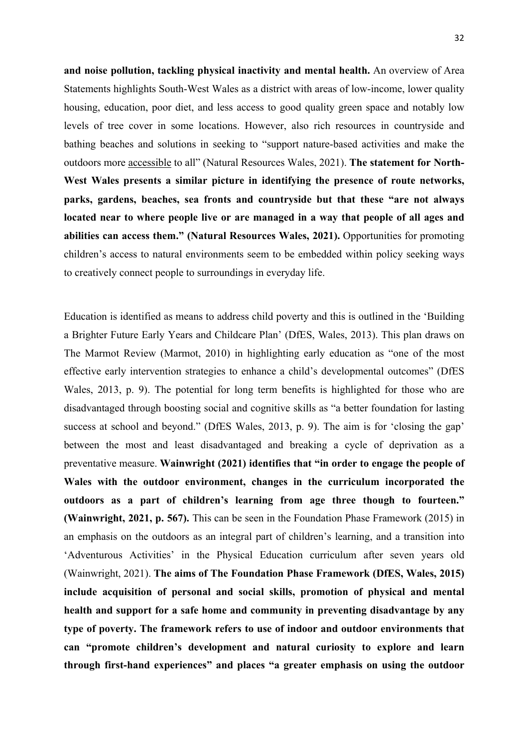**and noise pollution, tackling physical inactivity and mental health.** An overview of Area Statements highlights South-West Wales as a district with areas of low-income, lower quality housing, education, poor diet, and less access to good quality green space and notably low levels of tree cover in some locations. However, also rich resources in countryside and bathing beaches and solutions in seeking to "support nature-based activities and make the outdoors more accessible to all" (Natural Resources Wales, 2021). **The statement for North-West Wales presents a similar picture in identifying the presence of route networks, parks, gardens, beaches, sea fronts and countryside but that these "are not always located near to where people live or are managed in a way that people of all ages and abilities can access them." (Natural Resources Wales, 2021).** Opportunities for promoting children's access to natural environments seem to be embedded within policy seeking ways to creatively connect people to surroundings in everyday life.

Education is identified as means to address child poverty and this is outlined in the 'Building a Brighter Future Early Years and Childcare Plan' (DfES, Wales, 2013). This plan draws on The Marmot Review (Marmot, 2010) in highlighting early education as "one of the most effective early intervention strategies to enhance a child's developmental outcomes" (DfES Wales, 2013, p. 9). The potential for long term benefits is highlighted for those who are disadvantaged through boosting social and cognitive skills as "a better foundation for lasting success at school and beyond." (DfES Wales, 2013, p. 9). The aim is for 'closing the gap' between the most and least disadvantaged and breaking a cycle of deprivation as a preventative measure. **Wainwright (2021) identifies that "in order to engage the people of Wales with the outdoor environment, changes in the curriculum incorporated the outdoors as a part of children's learning from age three though to fourteen." (Wainwright, 2021, p. 567).** This can be seen in the Foundation Phase Framework (2015) in an emphasis on the outdoors as an integral part of children's learning, and a transition into 'Adventurous Activities' in the Physical Education curriculum after seven years old (Wainwright, 2021). **The aims of The Foundation Phase Framework (DfES, Wales, 2015) include acquisition of personal and social skills, promotion of physical and mental health and support for a safe home and community in preventing disadvantage by any type of poverty. The framework refers to use of indoor and outdoor environments that can "promote children's development and natural curiosity to explore and learn through first-hand experiences" and places "a greater emphasis on using the outdoor**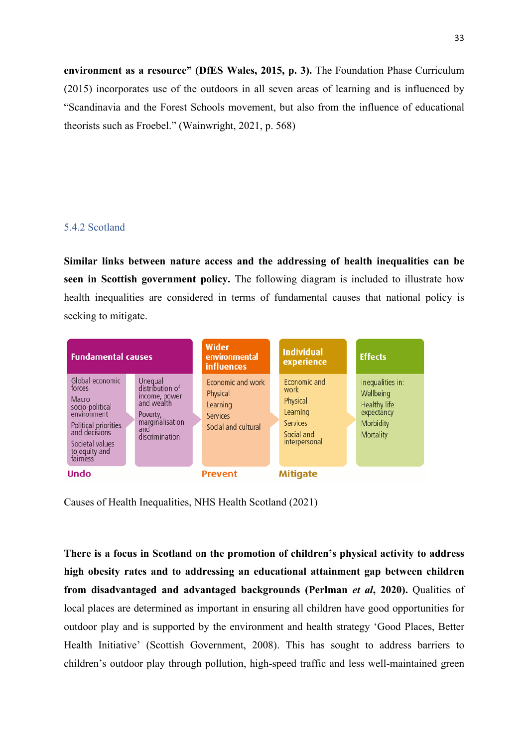**environment as a resource" (DfES Wales, 2015, p. 3).** The Foundation Phase Curriculum (2015) incorporates use of the outdoors in all seven areas of learning and is influenced by "Scandinavia and the Forest Schools movement, but also from the influence of educational theorists such as Froebel." (Wainwright, 2021, p. 568)

#### 5.4.2 Scotland

**Similar links between nature access and the addressing of health inequalities can be seen in Scottish government policy.** The following diagram is included to illustrate how health inequalities are considered in terms of fundamental causes that national policy is seeking to mitigate.



Causes of Health Inequalities, NHS Health Scotland (2021)

**There is a focus in Scotland on the promotion of children's physical activity to address high obesity rates and to addressing an educational attainment gap between children from disadvantaged and advantaged backgrounds (Perlman** *et al***, 2020).** Qualities of local places are determined as important in ensuring all children have good opportunities for outdoor play and is supported by the environment and health strategy 'Good Places, Better Health Initiative' (Scottish Government, 2008). This has sought to address barriers to children's outdoor play through pollution, high-speed traffic and less well-maintained green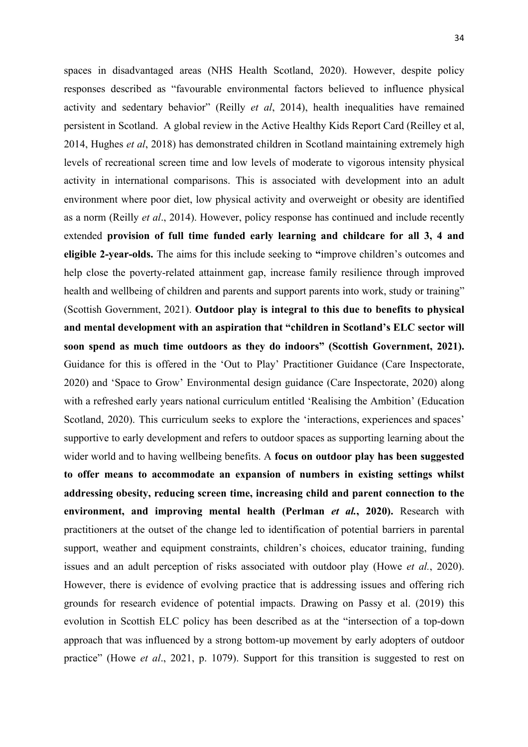spaces in disadvantaged areas (NHS Health Scotland, 2020). However, despite policy responses described as "favourable environmental factors believed to influence physical activity and sedentary behavior" (Reilly *et al*, 2014), health inequalities have remained persistent in Scotland. A global review in the Active Healthy Kids Report Card (Reilley et al, 2014, Hughes *et al*, 2018) has demonstrated children in Scotland maintaining extremely high levels of recreational screen time and low levels of moderate to vigorous intensity physical activity in international comparisons. This is associated with development into an adult environment where poor diet, low physical activity and overweight or obesity are identified as a norm (Reilly *et al*., 2014). However, policy response has continued and include recently extended **provision of full time funded early learning and childcare for all 3, 4 and eligible 2-year-olds.** The aims for this include seeking to **"**improve children's outcomes and help close the poverty-related attainment gap, increase family resilience through improved health and wellbeing of children and parents and support parents into work, study or training" (Scottish Government, 2021). **Outdoor play is integral to this due to benefits to physical and mental development with an aspiration that "children in Scotland's ELC sector will soon spend as much time outdoors as they do indoors" (Scottish Government, 2021).** Guidance for this is offered in the 'Out to Play' Practitioner Guidance (Care Inspectorate, 2020) and 'Space to Grow' Environmental design guidance (Care Inspectorate, 2020) along with a refreshed early years national curriculum entitled 'Realising the Ambition' (Education Scotland, 2020). This curriculum seeks to explore the 'interactions, experiences and spaces' supportive to early development and refers to outdoor spaces as supporting learning about the wider world and to having wellbeing benefits. A **focus on outdoor play has been suggested to offer means to accommodate an expansion of numbers in existing settings whilst addressing obesity, reducing screen time, increasing child and parent connection to the environment, and improving mental health (Perlman** *et al.***, 2020).** Research with practitioners at the outset of the change led to identification of potential barriers in parental support, weather and equipment constraints, children's choices, educator training, funding issues and an adult perception of risks associated with outdoor play (Howe *et al.*, 2020). However, there is evidence of evolving practice that is addressing issues and offering rich grounds for research evidence of potential impacts. Drawing on Passy et al. (2019) this evolution in Scottish ELC policy has been described as at the "intersection of a top-down approach that was influenced by a strong bottom-up movement by early adopters of outdoor practice" (Howe *et al*., 2021, p. 1079). Support for this transition is suggested to rest on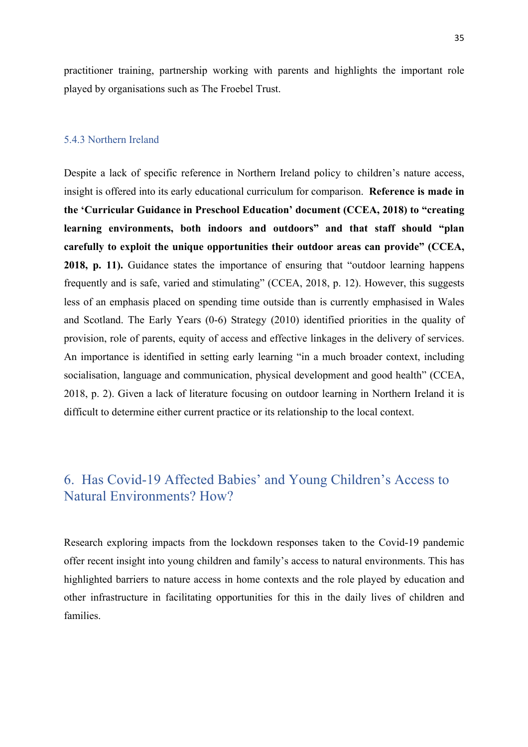practitioner training, partnership working with parents and highlights the important role played by organisations such as The Froebel Trust.

#### 5.4.3 Northern Ireland

Despite a lack of specific reference in Northern Ireland policy to children's nature access, insight is offered into its early educational curriculum for comparison. **Reference is made in the 'Curricular Guidance in Preschool Education' document (CCEA, 2018) to "creating learning environments, both indoors and outdoors" and that staff should "plan carefully to exploit the unique opportunities their outdoor areas can provide" (CCEA, 2018, p. 11).** Guidance states the importance of ensuring that "outdoor learning happens frequently and is safe, varied and stimulating" (CCEA, 2018, p. 12). However, this suggests less of an emphasis placed on spending time outside than is currently emphasised in Wales and Scotland. The Early Years (0-6) Strategy (2010) identified priorities in the quality of provision, role of parents, equity of access and effective linkages in the delivery of services. An importance is identified in setting early learning "in a much broader context, including socialisation, language and communication, physical development and good health" (CCEA, 2018, p. 2). Given a lack of literature focusing on outdoor learning in Northern Ireland it is difficult to determine either current practice or its relationship to the local context.

# 6. Has Covid-19 Affected Babies' and Young Children's Access to Natural Environments? How?

Research exploring impacts from the lockdown responses taken to the Covid-19 pandemic offer recent insight into young children and family's access to natural environments. This has highlighted barriers to nature access in home contexts and the role played by education and other infrastructure in facilitating opportunities for this in the daily lives of children and families.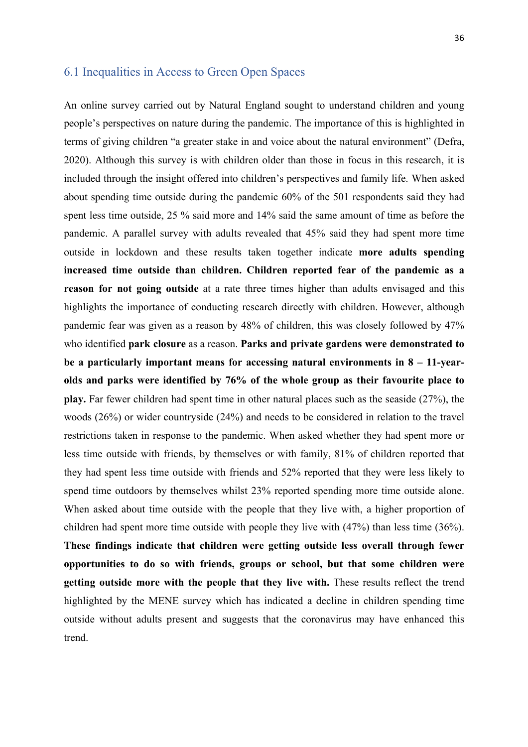### 6.1 Inequalities in Access to Green Open Spaces

An online survey carried out by Natural England sought to understand children and young people's perspectives on nature during the pandemic. The importance of this is highlighted in terms of giving children "a greater stake in and voice about the natural environment" (Defra, 2020). Although this survey is with children older than those in focus in this research, it is included through the insight offered into children's perspectives and family life. When asked about spending time outside during the pandemic 60% of the 501 respondents said they had spent less time outside, 25 % said more and 14% said the same amount of time as before the pandemic. A parallel survey with adults revealed that 45% said they had spent more time outside in lockdown and these results taken together indicate **more adults spending increased time outside than children. Children reported fear of the pandemic as a reason for not going outside** at a rate three times higher than adults envisaged and this highlights the importance of conducting research directly with children. However, although pandemic fear was given as a reason by 48% of children, this was closely followed by 47% who identified **park closure** as a reason. **Parks and private gardens were demonstrated to be a particularly important means for accessing natural environments in 8 – 11-yearolds and parks were identified by 76% of the whole group as their favourite place to play.** Far fewer children had spent time in other natural places such as the seaside (27%), the woods (26%) or wider countryside (24%) and needs to be considered in relation to the travel restrictions taken in response to the pandemic. When asked whether they had spent more or less time outside with friends, by themselves or with family, 81% of children reported that they had spent less time outside with friends and 52% reported that they were less likely to spend time outdoors by themselves whilst 23% reported spending more time outside alone. When asked about time outside with the people that they live with, a higher proportion of children had spent more time outside with people they live with (47%) than less time (36%). **These findings indicate that children were getting outside less overall through fewer opportunities to do so with friends, groups or school, but that some children were getting outside more with the people that they live with.** These results reflect the trend highlighted by the MENE survey which has indicated a decline in children spending time outside without adults present and suggests that the coronavirus may have enhanced this trend.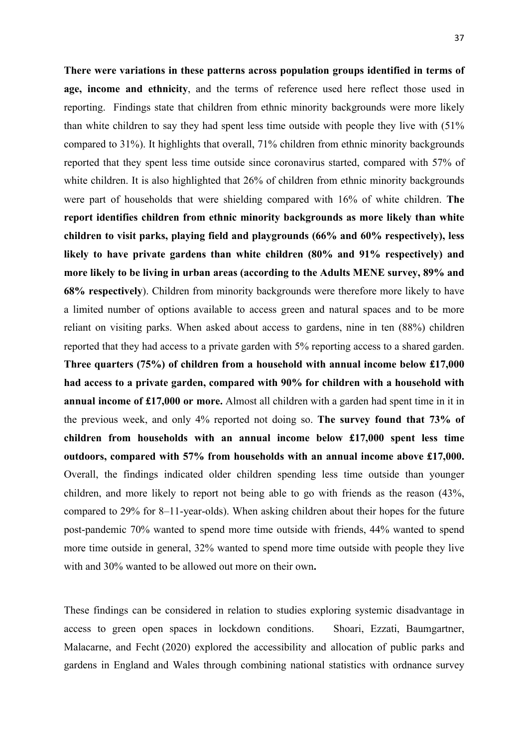**There were variations in these patterns across population groups identified in terms of age, income and ethnicity**, and the terms of reference used here reflect those used in reporting. Findings state that children from ethnic minority backgrounds were more likely than white children to say they had spent less time outside with people they live with (51% compared to 31%). It highlights that overall, 71% children from ethnic minority backgrounds reported that they spent less time outside since coronavirus started, compared with 57% of white children. It is also highlighted that 26% of children from ethnic minority backgrounds were part of households that were shielding compared with 16% of white children. **The report identifies children from ethnic minority backgrounds as more likely than white children to visit parks, playing field and playgrounds (66% and 60% respectively), less likely to have private gardens than white children (80% and 91% respectively) and more likely to be living in urban areas (according to the Adults MENE survey, 89% and 68% respectively**). Children from minority backgrounds were therefore more likely to have a limited number of options available to access green and natural spaces and to be more reliant on visiting parks. When asked about access to gardens, nine in ten (88%) children reported that they had access to a private garden with 5% reporting access to a shared garden. **Three quarters (75%) of children from a household with annual income below £17,000 had access to a private garden, compared with 90% for children with a household with annual income of £17,000 or more.** Almost all children with a garden had spent time in it in the previous week, and only 4% reported not doing so. **The survey found that 73% of children from households with an annual income below £17,000 spent less time outdoors, compared with 57% from households with an annual income above £17,000.** Overall, the findings indicated older children spending less time outside than younger children, and more likely to report not being able to go with friends as the reason (43%, compared to 29% for 8–11-year-olds). When asking children about their hopes for the future post-pandemic 70% wanted to spend more time outside with friends, 44% wanted to spend more time outside in general, 32% wanted to spend more time outside with people they live with and 30% wanted to be allowed out more on their own**.** 

These findings can be considered in relation to studies exploring systemic disadvantage in access to green open spaces in lockdown conditions. Shoari, Ezzati, Baumgartner, Malacarne, and Fecht (2020) explored the accessibility and allocation of public parks and gardens in England and Wales through combining national statistics with ordnance survey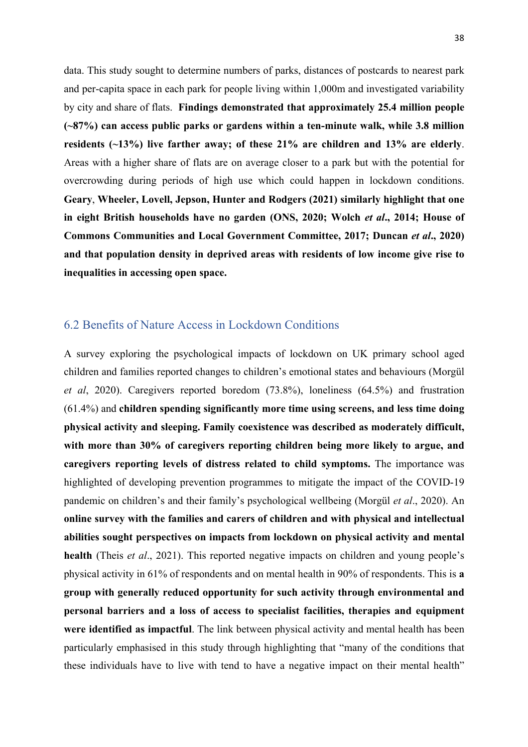data. This study sought to determine numbers of parks, distances of postcards to nearest park and per-capita space in each park for people living within 1,000m and investigated variability by city and share of flats. **Findings demonstrated that approximately 25.4 million people (~87%) can access public parks or gardens within a ten-minute walk, while 3.8 million residents (~13%) live farther away; of these 21% are children and 13% are elderly**. Areas with a higher share of flats are on average closer to a park but with the potential for overcrowding during periods of high use which could happen in lockdown conditions. **Geary**, **Wheeler, Lovell, Jepson, Hunter and Rodgers (2021) similarly highlight that one in eight British households have no garden (ONS, 2020; Wolch** *et al***., 2014; House of Commons Communities and Local Government Committee, 2017; Duncan** *et al***., 2020) and that population density in deprived areas with residents of low income give rise to inequalities in accessing open space.** 

#### 6.2 Benefits of Nature Access in Lockdown Conditions

A survey exploring the psychological impacts of lockdown on UK primary school aged children and families reported changes to children's emotional states and behaviours (Morgül *et al*, 2020). Caregivers reported boredom (73.8%), loneliness (64.5%) and frustration (61.4%) and **children spending significantly more time using screens, and less time doing physical activity and sleeping. Family coexistence was described as moderately difficult, with more than 30% of caregivers reporting children being more likely to argue, and caregivers reporting levels of distress related to child symptoms.** The importance was highlighted of developing prevention programmes to mitigate the impact of the COVID-19 pandemic on children's and their family's psychological wellbeing (Morgül *et al*., 2020). An **online survey with the families and carers of children and with physical and intellectual abilities sought perspectives on impacts from lockdown on physical activity and mental health** (Theis *et al*., 2021). This reported negative impacts on children and young people's physical activity in 61% of respondents and on mental health in 90% of respondents. This is **a group with generally reduced opportunity for such activity through environmental and personal barriers and a loss of access to specialist facilities, therapies and equipment were identified as impactful**. The link between physical activity and mental health has been particularly emphasised in this study through highlighting that "many of the conditions that these individuals have to live with tend to have a negative impact on their mental health"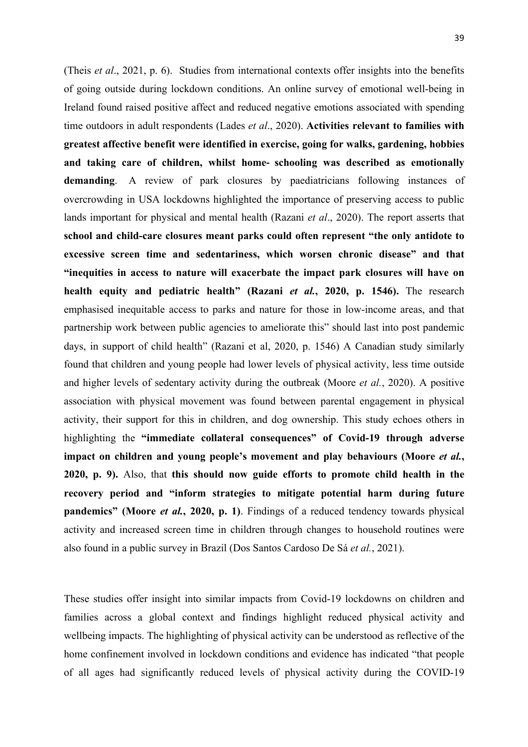(Theis *et al*., 2021, p. 6). Studies from international contexts offer insights into the benefits of going outside during lockdown conditions. An online survey of emotional well-being in Ireland found raised positive affect and reduced negative emotions associated with spending time outdoors in adult respondents (Lades *et al*., 2020). **Activities relevant to families with greatest affective benefit were identified in exercise, going for walks, gardening, hobbies and taking care of children, whilst home**- **schooling was described as emotionally demanding**. A review of park closures by paediatricians following instances of overcrowding in USA lockdowns highlighted the importance of preserving access to public lands important for physical and mental health (Razani *et al*., 2020). The report asserts that **school and child-care closures meant parks could often represent "the only antidote to excessive screen time and sedentariness, which worsen chronic disease" and that "inequities in access to nature will exacerbate the impact park closures will have on health equity and pediatric health" (Razani** *et al.***, 2020, p. 1546).** The research emphasised inequitable access to parks and nature for those in low-income areas, and that partnership work between public agencies to ameliorate this" should last into post pandemic days, in support of child health" (Razani et al, 2020, p. 1546) A Canadian study similarly found that children and young people had lower levels of physical activity, less time outside and higher levels of sedentary activity during the outbreak (Moore *et al.*, 2020). A positive association with physical movement was found between parental engagement in physical activity, their support for this in children, and dog ownership. This study echoes others in highlighting the **"immediate collateral consequences" of Covid-19 through adverse**  impact on children and young people's movement and play behaviours (Moore *et al.*, **2020, p. 9).** Also, that **this should now guide efforts to promote child health in the recovery period and "inform strategies to mitigate potential harm during future pandemics" (Moore** *et al.***, 2020, p. 1)**. Findings of a reduced tendency towards physical activity and increased screen time in children through changes to household routines were also found in a public survey in Brazil (Dos Santos Cardoso De Sá *et al.*, 2021).

These studies offer insight into similar impacts from Covid-19 lockdowns on children and families across a global context and findings highlight reduced physical activity and wellbeing impacts. The highlighting of physical activity can be understood as reflective of the home confinement involved in lockdown conditions and evidence has indicated "that people of all ages had significantly reduced levels of physical activity during the COVID-19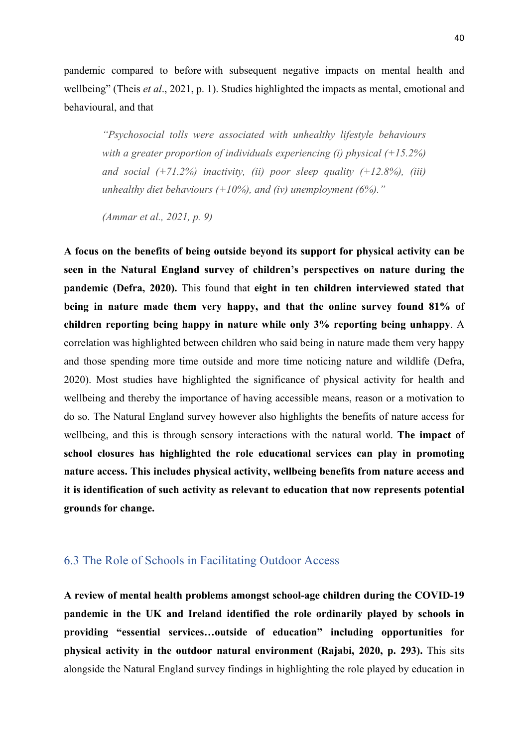pandemic compared to before with subsequent negative impacts on mental health and wellbeing" (Theis *et al*., 2021, p. 1). Studies highlighted the impacts as mental, emotional and behavioural, and that

*"Psychosocial tolls were associated with unhealthy lifestyle behaviours with a greater proportion of individuals experiencing (i) physical (+15.2%) and social (+71.2%) inactivity, (ii) poor sleep quality (+12.8%), (iii) unhealthy diet behaviours (+10%), and (iv) unemployment (6%)."* 

*(Ammar et al., 2021, p. 9)*

**A focus on the benefits of being outside beyond its support for physical activity can be seen in the Natural England survey of children's perspectives on nature during the pandemic (Defra, 2020).** This found that **eight in ten children interviewed stated that being in nature made them very happy, and that the online survey found 81% of children reporting being happy in nature while only 3% reporting being unhappy**. A correlation was highlighted between children who said being in nature made them very happy and those spending more time outside and more time noticing nature and wildlife (Defra, 2020). Most studies have highlighted the significance of physical activity for health and wellbeing and thereby the importance of having accessible means, reason or a motivation to do so. The Natural England survey however also highlights the benefits of nature access for wellbeing, and this is through sensory interactions with the natural world. **The impact of school closures has highlighted the role educational services can play in promoting nature access. This includes physical activity, wellbeing benefits from nature access and it is identification of such activity as relevant to education that now represents potential grounds for change.** 

### 6.3 The Role of Schools in Facilitating Outdoor Access

**A review of mental health problems amongst school-age children during the COVID-19 pandemic in the UK and Ireland identified the role ordinarily played by schools in providing "essential services…outside of education" including opportunities for physical activity in the outdoor natural environment (Rajabi, 2020, p. 293).** This sits alongside the Natural England survey findings in highlighting the role played by education in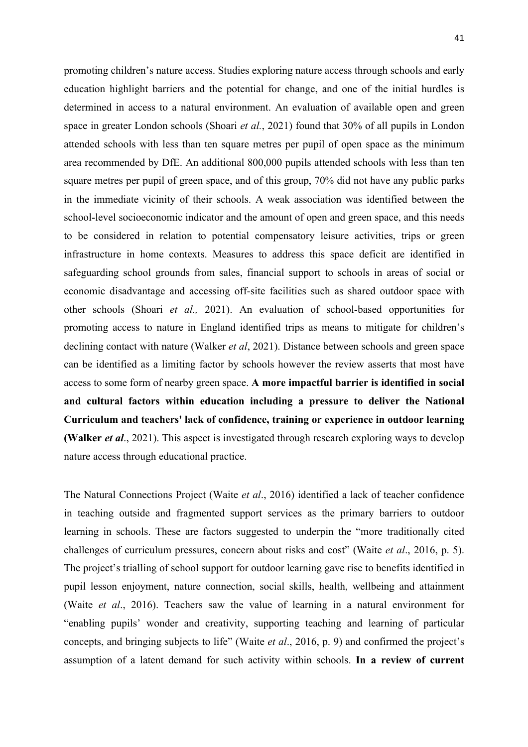promoting children's nature access. Studies exploring nature access through schools and early education highlight barriers and the potential for change, and one of the initial hurdles is determined in access to a natural environment. An evaluation of available open and green space in greater London schools (Shoari *et al.*, 2021) found that 30% of all pupils in London attended schools with less than ten square metres per pupil of open space as the minimum area recommended by DfE. An additional 800,000 pupils attended schools with less than ten square metres per pupil of green space, and of this group, 70% did not have any public parks in the immediate vicinity of their schools. A weak association was identified between the school-level socioeconomic indicator and the amount of open and green space, and this needs to be considered in relation to potential compensatory leisure activities, trips or green infrastructure in home contexts. Measures to address this space deficit are identified in safeguarding school grounds from sales, financial support to schools in areas of social or economic disadvantage and accessing off-site facilities such as shared outdoor space with other schools (Shoari *et al.,* 2021). An evaluation of school-based opportunities for promoting access to nature in England identified trips as means to mitigate for children's declining contact with nature (Walker *et al*, 2021). Distance between schools and green space can be identified as a limiting factor by schools however the review asserts that most have access to some form of nearby green space. **A more impactful barrier is identified in social and cultural factors within education including a pressure to deliver the National Curriculum and teachers' lack of confidence, training or experience in outdoor learning (Walker** *et al*., 2021). This aspect is investigated through research exploring ways to develop nature access through educational practice.

The Natural Connections Project (Waite *et al*., 2016) identified a lack of teacher confidence in teaching outside and fragmented support services as the primary barriers to outdoor learning in schools. These are factors suggested to underpin the "more traditionally cited challenges of curriculum pressures, concern about risks and cost" (Waite *et al*., 2016, p. 5). The project's trialling of school support for outdoor learning gave rise to benefits identified in pupil lesson enjoyment, nature connection, social skills, health, wellbeing and attainment (Waite *et al*., 2016). Teachers saw the value of learning in a natural environment for "enabling pupils' wonder and creativity, supporting teaching and learning of particular concepts, and bringing subjects to life" (Waite *et al*., 2016, p. 9) and confirmed the project's assumption of a latent demand for such activity within schools. **In a review of current**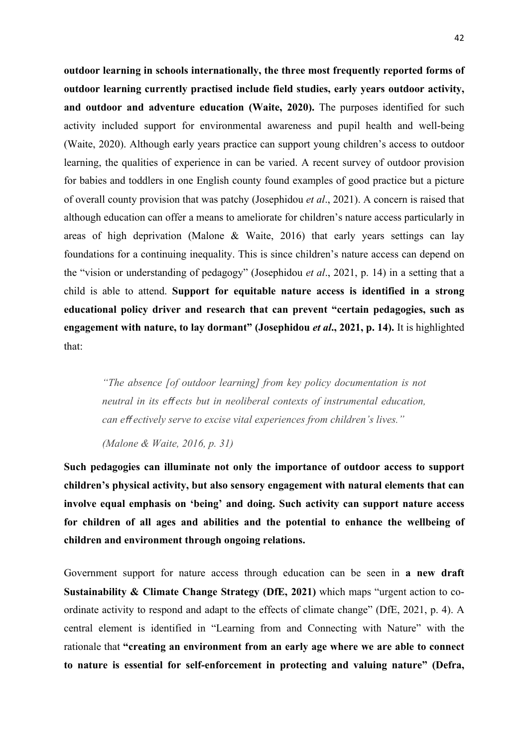**outdoor learning in schools internationally, the three most frequently reported forms of outdoor learning currently practised include field studies, early years outdoor activity, and outdoor and adventure education (Waite, 2020).** The purposes identified for such activity included support for environmental awareness and pupil health and well-being (Waite, 2020). Although early years practice can support young children's access to outdoor learning, the qualities of experience in can be varied. A recent survey of outdoor provision for babies and toddlers in one English county found examples of good practice but a picture of overall county provision that was patchy (Josephidou *et al*., 2021). A concern is raised that although education can offer a means to ameliorate for children's nature access particularly in areas of high deprivation (Malone & Waite, 2016) that early years settings can lay foundations for a continuing inequality. This is since children's nature access can depend on the "vision or understanding of pedagogy" (Josephidou *et al*., 2021, p. 14) in a setting that a child is able to attend. **Support for equitable nature access is identified in a strong educational policy driver and research that can prevent "certain pedagogies, such as engagement with nature, to lay dormant" (Josephidou** *et al***., 2021, p. 14).** It is highlighted that:

*"The absence [of outdoor learning] from key policy documentation is not neutral in its e*ff *ects but in neoliberal contexts of instrumental education, can effectively serve to excise vital experiences from children's lives."* 

*(Malone & Waite, 2016, p. 31)*

**Such pedagogies can illuminate not only the importance of outdoor access to support children's physical activity, but also sensory engagement with natural elements that can involve equal emphasis on 'being' and doing. Such activity can support nature access for children of all ages and abilities and the potential to enhance the wellbeing of children and environment through ongoing relations.**

Government support for nature access through education can be seen in **a new draft Sustainability & Climate Change Strategy (DfE, 2021)** which maps "urgent action to coordinate activity to respond and adapt to the effects of climate change" (DfE, 2021, p. 4). A central element is identified in "Learning from and Connecting with Nature" with the rationale that **"creating an environment from an early age where we are able to connect to nature is essential for self-enforcement in protecting and valuing nature" (Defra,**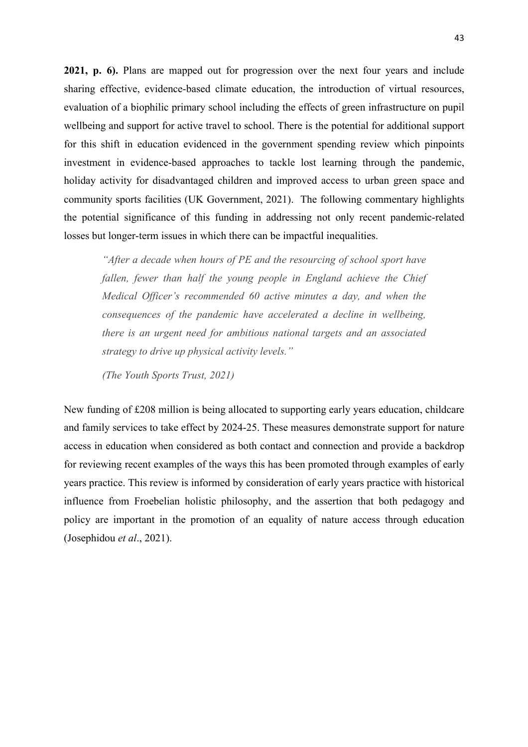**2021, p. 6).** Plans are mapped out for progression over the next four years and include sharing effective, evidence-based climate education, the introduction of virtual resources, evaluation of a biophilic primary school including the effects of green infrastructure on pupil wellbeing and support for active travel to school. There is the potential for additional support for this shift in education evidenced in the government spending review which pinpoints investment in evidence-based approaches to tackle lost learning through the pandemic, holiday activity for disadvantaged children and improved access to urban green space and community sports facilities (UK Government, 2021). The following commentary highlights the potential significance of this funding in addressing not only recent pandemic-related losses but longer-term issues in which there can be impactful inequalities.

*"After a decade when hours of PE and the resourcing of school sport have fallen, fewer than half the young people in England achieve the Chief Medical Officer's recommended 60 active minutes a day, and when the consequences of the pandemic have accelerated a decline in wellbeing, there is an urgent need for ambitious national targets and an associated strategy to drive up physical activity levels."*

*(The Youth Sports Trust, 2021)*

New funding of £208 million is being allocated to supporting early years education, childcare and family services to take effect by 2024-25. These measures demonstrate support for nature access in education when considered as both contact and connection and provide a backdrop for reviewing recent examples of the ways this has been promoted through examples of early years practice. This review is informed by consideration of early years practice with historical influence from Froebelian holistic philosophy, and the assertion that both pedagogy and policy are important in the promotion of an equality of nature access through education (Josephidou *et al*., 2021).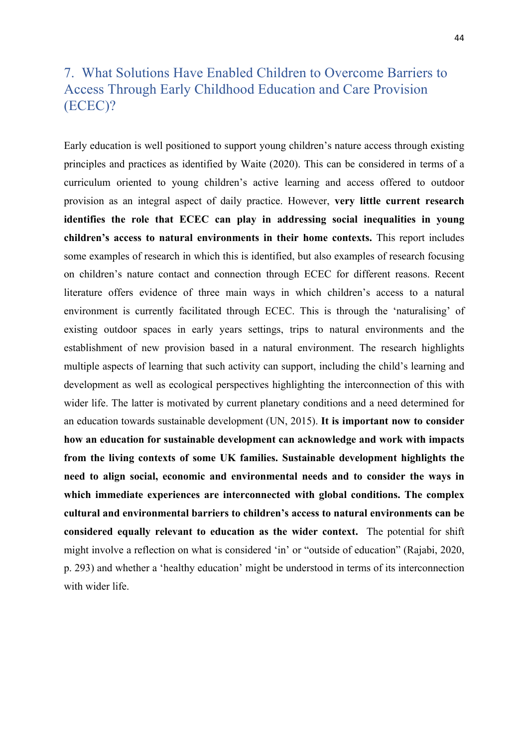# 7. What Solutions Have Enabled Children to Overcome Barriers to Access Through Early Childhood Education and Care Provision (ECEC)?

Early education is well positioned to support young children's nature access through existing principles and practices as identified by Waite (2020). This can be considered in terms of a curriculum oriented to young children's active learning and access offered to outdoor provision as an integral aspect of daily practice. However, **very little current research identifies the role that ECEC can play in addressing social inequalities in young children's access to natural environments in their home contexts.** This report includes some examples of research in which this is identified, but also examples of research focusing on children's nature contact and connection through ECEC for different reasons. Recent literature offers evidence of three main ways in which children's access to a natural environment is currently facilitated through ECEC. This is through the 'naturalising' of existing outdoor spaces in early years settings, trips to natural environments and the establishment of new provision based in a natural environment. The research highlights multiple aspects of learning that such activity can support, including the child's learning and development as well as ecological perspectives highlighting the interconnection of this with wider life. The latter is motivated by current planetary conditions and a need determined for an education towards sustainable development (UN, 2015). **It is important now to consider how an education for sustainable development can acknowledge and work with impacts from the living contexts of some UK families. Sustainable development highlights the need to align social, economic and environmental needs and to consider the ways in which immediate experiences are interconnected with global conditions. The complex cultural and environmental barriers to children's access to natural environments can be considered equally relevant to education as the wider context.** The potential for shift might involve a reflection on what is considered 'in' or "outside of education" (Rajabi, 2020, p. 293) and whether a 'healthy education' might be understood in terms of its interconnection with wider life.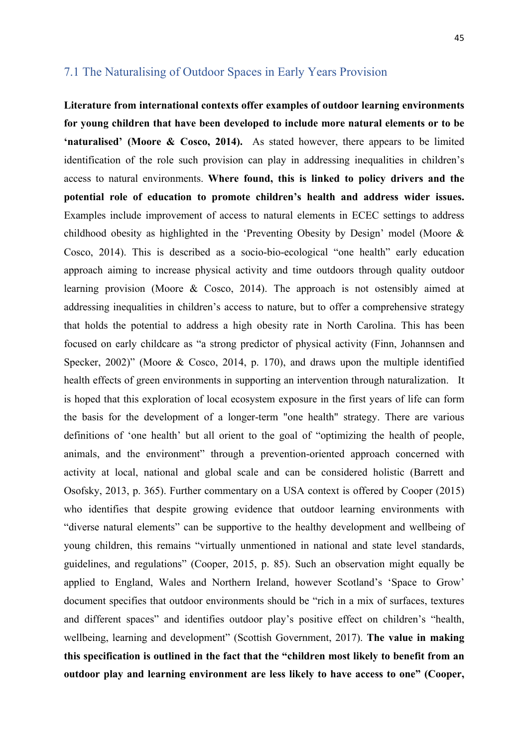### 7.1 The Naturalising of Outdoor Spaces in Early Years Provision

**Literature from international contexts offer examples of outdoor learning environments for young children that have been developed to include more natural elements or to be 'naturalised' (Moore & Cosco, 2014).** As stated however, there appears to be limited identification of the role such provision can play in addressing inequalities in children's access to natural environments. **Where found, this is linked to policy drivers and the potential role of education to promote children's health and address wider issues.** Examples include improvement of access to natural elements in ECEC settings to address childhood obesity as highlighted in the 'Preventing Obesity by Design' model (Moore & Cosco, 2014). This is described as a socio-bio-ecological "one health" early education approach aiming to increase physical activity and time outdoors through quality outdoor learning provision (Moore & Cosco, 2014). The approach is not ostensibly aimed at addressing inequalities in children's access to nature, but to offer a comprehensive strategy that holds the potential to address a high obesity rate in North Carolina. This has been focused on early childcare as "a strong predictor of physical activity (Finn, Johannsen and Specker, 2002)" (Moore & Cosco, 2014, p. 170), and draws upon the multiple identified health effects of green environments in supporting an intervention through naturalization. It is hoped that this exploration of local ecosystem exposure in the first years of life can form the basis for the development of a longer-term "one health" strategy. There are various definitions of 'one health' but all orient to the goal of "optimizing the health of people, animals, and the environment" through a prevention-oriented approach concerned with activity at local, national and global scale and can be considered holistic (Barrett and Osofsky, 2013, p. 365). Further commentary on a USA context is offered by Cooper (2015) who identifies that despite growing evidence that outdoor learning environments with "diverse natural elements" can be supportive to the healthy development and wellbeing of young children, this remains "virtually unmentioned in national and state level standards, guidelines, and regulations" (Cooper, 2015, p. 85). Such an observation might equally be applied to England, Wales and Northern Ireland, however Scotland's 'Space to Grow' document specifies that outdoor environments should be "rich in a mix of surfaces, textures and different spaces" and identifies outdoor play's positive effect on children's "health, wellbeing, learning and development" (Scottish Government, 2017). **The value in making this specification is outlined in the fact that the "children most likely to benefit from an outdoor play and learning environment are less likely to have access to one" (Cooper,**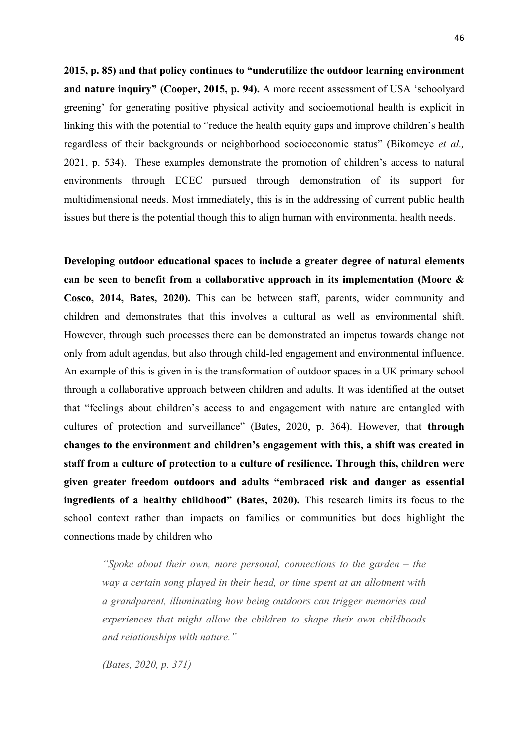**2015, p. 85) and that policy continues to "underutilize the outdoor learning environment and nature inquiry" (Cooper, 2015, p. 94).** A more recent assessment of USA 'schoolyard greening' for generating positive physical activity and socioemotional health is explicit in linking this with the potential to "reduce the health equity gaps and improve children's health regardless of their backgrounds or neighborhood socioeconomic status" (Bikomeye *et al.,* 2021, p. 534). These examples demonstrate the promotion of children's access to natural environments through ECEC pursued through demonstration of its support for multidimensional needs. Most immediately, this is in the addressing of current public health issues but there is the potential though this to align human with environmental health needs.

**Developing outdoor educational spaces to include a greater degree of natural elements can be seen to benefit from a collaborative approach in its implementation (Moore & Cosco, 2014, Bates, 2020).** This can be between staff, parents, wider community and children and demonstrates that this involves a cultural as well as environmental shift. However, through such processes there can be demonstrated an impetus towards change not only from adult agendas, but also through child-led engagement and environmental influence. An example of this is given in is the transformation of outdoor spaces in a UK primary school through a collaborative approach between children and adults. It was identified at the outset that "feelings about children's access to and engagement with nature are entangled with cultures of protection and surveillance" (Bates, 2020, p. 364). However, that **through changes to the environment and children's engagement with this, a shift was created in staff from a culture of protection to a culture of resilience. Through this, children were given greater freedom outdoors and adults "embraced risk and danger as essential ingredients of a healthy childhood" (Bates, 2020).** This research limits its focus to the school context rather than impacts on families or communities but does highlight the connections made by children who

*"Spoke about their own, more personal, connections to the garden – the way a certain song played in their head, or time spent at an allotment with a grandparent, illuminating how being outdoors can trigger memories and experiences that might allow the children to shape their own childhoods and relationships with nature."* 

*(Bates, 2020, p. 371)*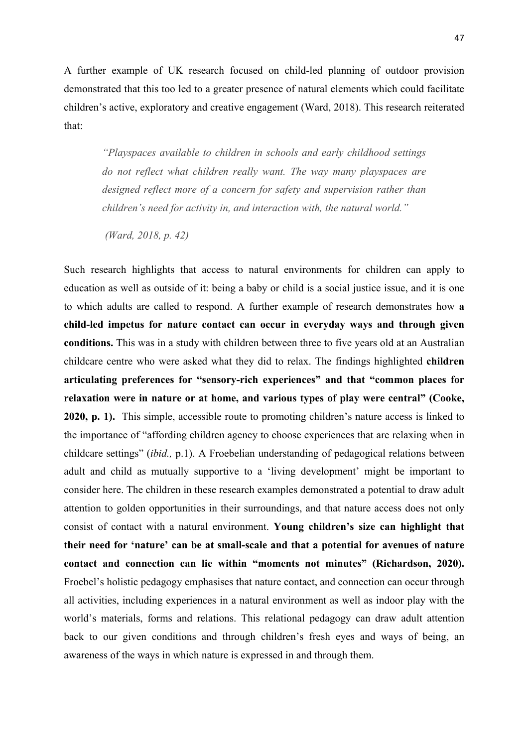A further example of UK research focused on child-led planning of outdoor provision demonstrated that this too led to a greater presence of natural elements which could facilitate children's active, exploratory and creative engagement (Ward, 2018). This research reiterated that:

*"Playspaces available to children in schools and early childhood settings do not reflect what children really want. The way many playspaces are designed reflect more of a concern for safety and supervision rather than children's need for activity in, and interaction with, the natural world."*

*(Ward, 2018, p. 42)*

Such research highlights that access to natural environments for children can apply to education as well as outside of it: being a baby or child is a social justice issue, and it is one to which adults are called to respond. A further example of research demonstrates how **a child-led impetus for nature contact can occur in everyday ways and through given conditions.** This was in a study with children between three to five years old at an Australian childcare centre who were asked what they did to relax. The findings highlighted **children articulating preferences for "sensory-rich experiences" and that "common places for relaxation were in nature or at home, and various types of play were central" (Cooke, 2020, p. 1).** This simple, accessible route to promoting children's nature access is linked to the importance of "affording children agency to choose experiences that are relaxing when in childcare settings" (*ibid.,* p.1). A Froebelian understanding of pedagogical relations between adult and child as mutually supportive to a 'living development' might be important to consider here. The children in these research examples demonstrated a potential to draw adult attention to golden opportunities in their surroundings, and that nature access does not only consist of contact with a natural environment. **Young children's size can highlight that their need for 'nature' can be at small-scale and that a potential for avenues of nature contact and connection can lie within "moments not minutes" (Richardson, 2020).** Froebel's holistic pedagogy emphasises that nature contact, and connection can occur through all activities, including experiences in a natural environment as well as indoor play with the world's materials, forms and relations. This relational pedagogy can draw adult attention back to our given conditions and through children's fresh eyes and ways of being, an awareness of the ways in which nature is expressed in and through them.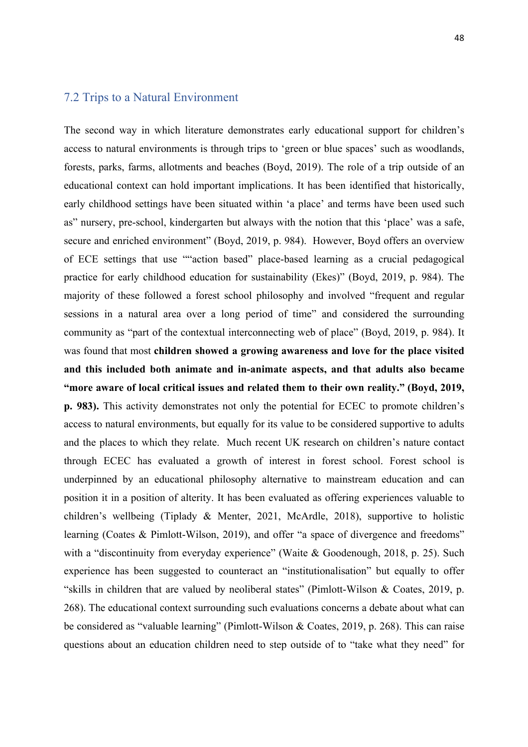#### 7.2 Trips to a Natural Environment

The second way in which literature demonstrates early educational support for children's access to natural environments is through trips to 'green or blue spaces' such as woodlands, forests, parks, farms, allotments and beaches (Boyd, 2019). The role of a trip outside of an educational context can hold important implications. It has been identified that historically, early childhood settings have been situated within 'a place' and terms have been used such as" nursery, pre-school, kindergarten but always with the notion that this 'place' was a safe, secure and enriched environment" (Boyd, 2019, p. 984). However, Boyd offers an overview of ECE settings that use ""action based" place-based learning as a crucial pedagogical practice for early childhood education for sustainability (Ekes)" (Boyd, 2019, p. 984). The majority of these followed a forest school philosophy and involved "frequent and regular sessions in a natural area over a long period of time" and considered the surrounding community as "part of the contextual interconnecting web of place" (Boyd, 2019, p. 984). It was found that most **children showed a growing awareness and love for the place visited and this included both animate and in-animate aspects, and that adults also became "more aware of local critical issues and related them to their own reality." (Boyd, 2019, p. 983).** This activity demonstrates not only the potential for ECEC to promote children's access to natural environments, but equally for its value to be considered supportive to adults and the places to which they relate. Much recent UK research on children's nature contact through ECEC has evaluated a growth of interest in forest school. Forest school is underpinned by an educational philosophy alternative to mainstream education and can position it in a position of alterity. It has been evaluated as offering experiences valuable to children's wellbeing (Tiplady & Menter, 2021, McArdle, 2018), supportive to holistic learning (Coates & Pimlott-Wilson, 2019), and offer "a space of divergence and freedoms" with a "discontinuity from everyday experience" (Waite & Goodenough, 2018, p. 25). Such experience has been suggested to counteract an "institutionalisation" but equally to offer "skills in children that are valued by neoliberal states" (Pimlott-Wilson & Coates, 2019, p. 268). The educational context surrounding such evaluations concerns a debate about what can be considered as "valuable learning" (Pimlott-Wilson & Coates, 2019, p. 268). This can raise questions about an education children need to step outside of to "take what they need" for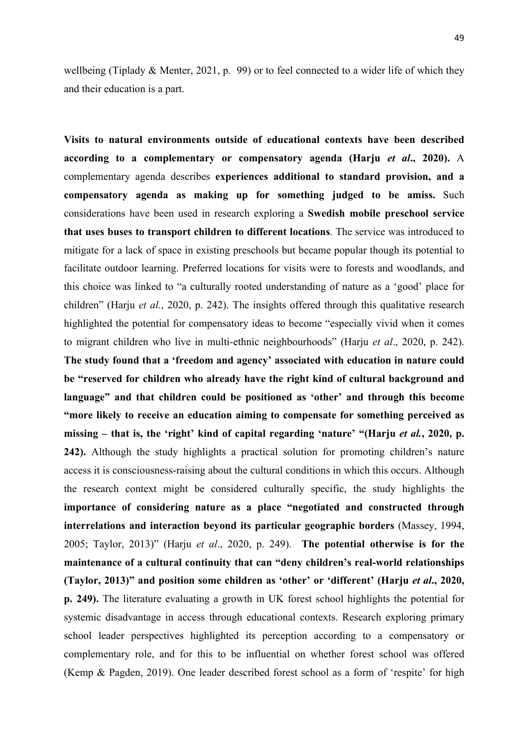wellbeing (Tiplady & Menter, 2021, p. 99) or to feel connected to a wider life of which they and their education is a part.

**Visits to natural environments outside of educational contexts have been described according to a complementary or compensatory agenda (Harju** *et al***., 2020).** A complementary agenda describes **experiences additional to standard provision, and a compensatory agenda as making up for something judged to be amiss.** Such considerations have been used in research exploring a **Swedish mobile preschool service that uses buses to transport children to different locations**. The service was introduced to mitigate for a lack of space in existing preschools but became popular though its potential to facilitate outdoor learning. Preferred locations for visits were to forests and woodlands, and this choice was linked to "a culturally rooted understanding of nature as a 'good' place for children" (Harju *et al.*, 2020, p. 242). The insights offered through this qualitative research highlighted the potential for compensatory ideas to become "especially vivid when it comes to migrant children who live in multi-ethnic neighbourhoods" (Harju *et al*., 2020, p. 242). **The study found that a 'freedom and agency' associated with education in nature could be "reserved for children who already have the right kind of cultural background and language" and that children could be positioned as 'other' and through this become "more likely to receive an education aiming to compensate for something perceived as missing – that is, the 'right' kind of capital regarding 'nature' "(Harju** *et al.***, 2020, p. 242).** Although the study highlights a practical solution for promoting children's nature access it is consciousness-raising about the cultural conditions in which this occurs. Although the research context might be considered culturally specific, the study highlights the **importance of considering nature as a place "negotiated and constructed through interrelations and interaction beyond its particular geographic borders** (Massey, 1994, 2005; Taylor, 2013)" (Harju *et al*., 2020, p. 249). **The potential otherwise is for the maintenance of a cultural continuity that can "deny children's real-world relationships (Taylor, 2013)" and position some children as 'other' or 'different' (Harju** *et al***., 2020, p. 249).** The literature evaluating a growth in UK forest school highlights the potential for systemic disadvantage in access through educational contexts. Research exploring primary school leader perspectives highlighted its perception according to a compensatory or complementary role, and for this to be influential on whether forest school was offered (Kemp & Pagden, 2019). One leader described forest school as a form of 'respite' for high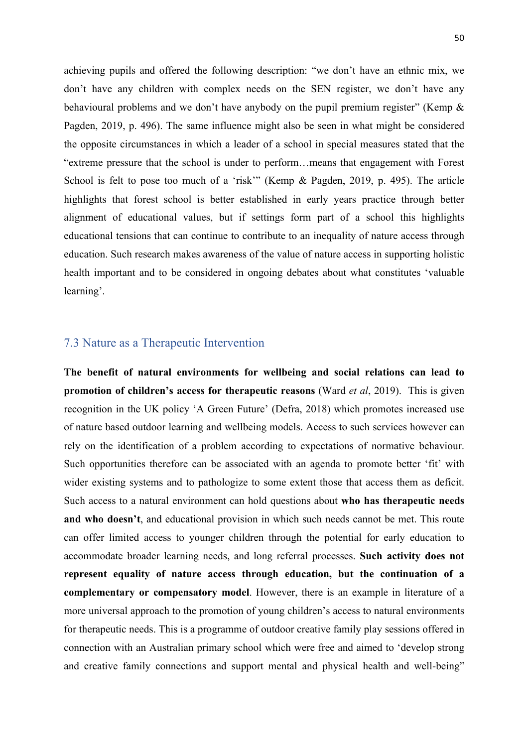achieving pupils and offered the following description: "we don't have an ethnic mix, we don't have any children with complex needs on the SEN register, we don't have any behavioural problems and we don't have anybody on the pupil premium register" (Kemp & Pagden, 2019, p. 496). The same influence might also be seen in what might be considered the opposite circumstances in which a leader of a school in special measures stated that the "extreme pressure that the school is under to perform…means that engagement with Forest School is felt to pose too much of a 'risk'" (Kemp & Pagden, 2019, p. 495). The article highlights that forest school is better established in early years practice through better alignment of educational values, but if settings form part of a school this highlights educational tensions that can continue to contribute to an inequality of nature access through education. Such research makes awareness of the value of nature access in supporting holistic health important and to be considered in ongoing debates about what constitutes 'valuable learning'.

### 7.3 Nature as a Therapeutic Intervention

**The benefit of natural environments for wellbeing and social relations can lead to promotion of children's access for therapeutic reasons** (Ward *et al*, 2019). This is given recognition in the UK policy 'A Green Future' (Defra, 2018) which promotes increased use of nature based outdoor learning and wellbeing models. Access to such services however can rely on the identification of a problem according to expectations of normative behaviour. Such opportunities therefore can be associated with an agenda to promote better 'fit' with wider existing systems and to pathologize to some extent those that access them as deficit. Such access to a natural environment can hold questions about **who has therapeutic needs and who doesn't**, and educational provision in which such needs cannot be met. This route can offer limited access to younger children through the potential for early education to accommodate broader learning needs, and long referral processes. **Such activity does not represent equality of nature access through education, but the continuation of a complementary or compensatory model**. However, there is an example in literature of a more universal approach to the promotion of young children's access to natural environments for therapeutic needs. This is a programme of outdoor creative family play sessions offered in connection with an Australian primary school which were free and aimed to 'develop strong and creative family connections and support mental and physical health and well-being"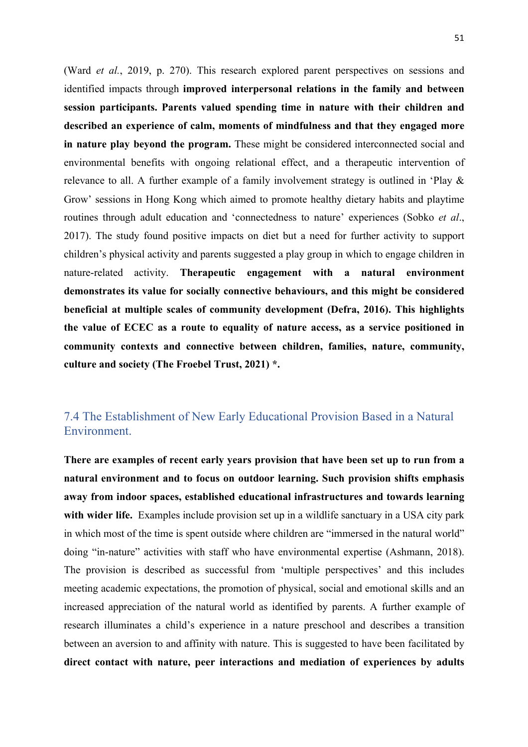(Ward *et al.*, 2019, p. 270). This research explored parent perspectives on sessions and identified impacts through **improved interpersonal relations in the family and between session participants. Parents valued spending time in nature with their children and described an experience of calm, moments of mindfulness and that they engaged more in nature play beyond the program.** These might be considered interconnected social and environmental benefits with ongoing relational effect, and a therapeutic intervention of relevance to all. A further example of a family involvement strategy is outlined in 'Play & Grow' sessions in Hong Kong which aimed to promote healthy dietary habits and playtime routines through adult education and 'connectedness to nature' experiences (Sobko *et al*., 2017). The study found positive impacts on diet but a need for further activity to support children's physical activity and parents suggested a play group in which to engage children in nature-related activity. **Therapeutic engagement with a natural environment demonstrates its value for socially connective behaviours, and this might be considered beneficial at multiple scales of community development (Defra, 2016). This highlights the value of ECEC as a route to equality of nature access, as a service positioned in community contexts and connective between children, families, nature, community, culture and society (The Froebel Trust, 2021) \*.**

### 7.4 The Establishment of New Early Educational Provision Based in a Natural Environment.

**There are examples of recent early years provision that have been set up to run from a natural environment and to focus on outdoor learning. Such provision shifts emphasis away from indoor spaces, established educational infrastructures and towards learning**  with wider life. Examples include provision set up in a wildlife sanctuary in a USA city park in which most of the time is spent outside where children are "immersed in the natural world" doing "in-nature" activities with staff who have environmental expertise (Ashmann, 2018). The provision is described as successful from 'multiple perspectives' and this includes meeting academic expectations, the promotion of physical, social and emotional skills and an increased appreciation of the natural world as identified by parents. A further example of research illuminates a child's experience in a nature preschool and describes a transition between an aversion to and affinity with nature. This is suggested to have been facilitated by **direct contact with nature, peer interactions and mediation of experiences by adults**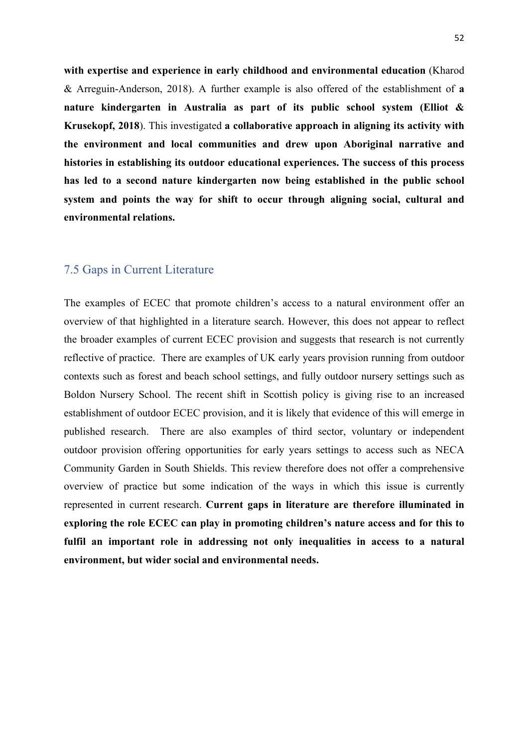**with expertise and experience in early childhood and environmental education** (Kharod & Arreguin-Anderson, 2018). A further example is also offered of the establishment of **a nature kindergarten in Australia as part of its public school system (Elliot & Krusekopf, 2018**). This investigated **a collaborative approach in aligning its activity with the environment and local communities and drew upon Aboriginal narrative and histories in establishing its outdoor educational experiences. The success of this process has led to a second nature kindergarten now being established in the public school system and points the way for shift to occur through aligning social, cultural and environmental relations.**

### 7.5 Gaps in Current Literature

The examples of ECEC that promote children's access to a natural environment offer an overview of that highlighted in a literature search. However, this does not appear to reflect the broader examples of current ECEC provision and suggests that research is not currently reflective of practice. There are examples of UK early years provision running from outdoor contexts such as forest and beach school settings, and fully outdoor nursery settings such as Boldon Nursery School. The recent shift in Scottish policy is giving rise to an increased establishment of outdoor ECEC provision, and it is likely that evidence of this will emerge in published research. There are also examples of third sector, voluntary or independent outdoor provision offering opportunities for early years settings to access such as NECA Community Garden in South Shields. This review therefore does not offer a comprehensive overview of practice but some indication of the ways in which this issue is currently represented in current research. **Current gaps in literature are therefore illuminated in exploring the role ECEC can play in promoting children's nature access and for this to fulfil an important role in addressing not only inequalities in access to a natural environment, but wider social and environmental needs.**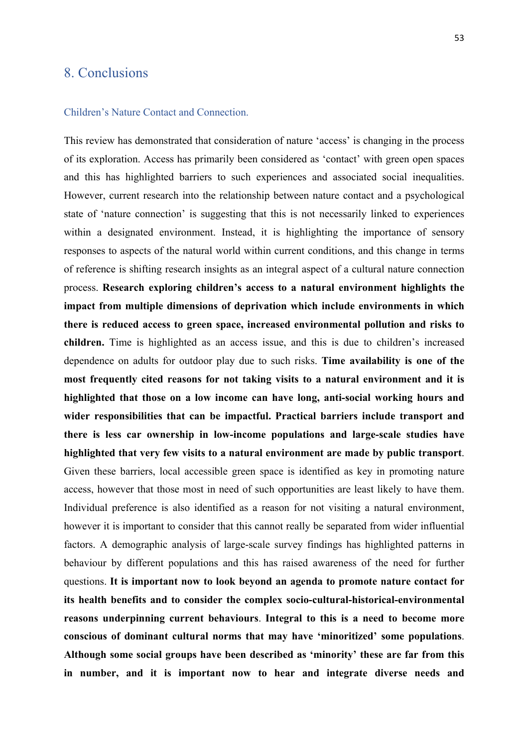### 8. Conclusions

#### Children's Nature Contact and Connection.

This review has demonstrated that consideration of nature 'access' is changing in the process of its exploration. Access has primarily been considered as 'contact' with green open spaces and this has highlighted barriers to such experiences and associated social inequalities. However, current research into the relationship between nature contact and a psychological state of 'nature connection' is suggesting that this is not necessarily linked to experiences within a designated environment. Instead, it is highlighting the importance of sensory responses to aspects of the natural world within current conditions, and this change in terms of reference is shifting research insights as an integral aspect of a cultural nature connection process. **Research exploring children's access to a natural environment highlights the impact from multiple dimensions of deprivation which include environments in which there is reduced access to green space, increased environmental pollution and risks to children.** Time is highlighted as an access issue, and this is due to children's increased dependence on adults for outdoor play due to such risks. **Time availability is one of the most frequently cited reasons for not taking visits to a natural environment and it is highlighted that those on a low income can have long, anti-social working hours and wider responsibilities that can be impactful. Practical barriers include transport and there is less car ownership in low-income populations and large-scale studies have highlighted that very few visits to a natural environment are made by public transport**. Given these barriers, local accessible green space is identified as key in promoting nature access, however that those most in need of such opportunities are least likely to have them. Individual preference is also identified as a reason for not visiting a natural environment, however it is important to consider that this cannot really be separated from wider influential factors. A demographic analysis of large-scale survey findings has highlighted patterns in behaviour by different populations and this has raised awareness of the need for further questions. **It is important now to look beyond an agenda to promote nature contact for its health benefits and to consider the complex socio-cultural-historical-environmental reasons underpinning current behaviours**. **Integral to this is a need to become more conscious of dominant cultural norms that may have 'minoritized' some populations**. **Although some social groups have been described as 'minority' these are far from this in number, and it is important now to hear and integrate diverse needs and**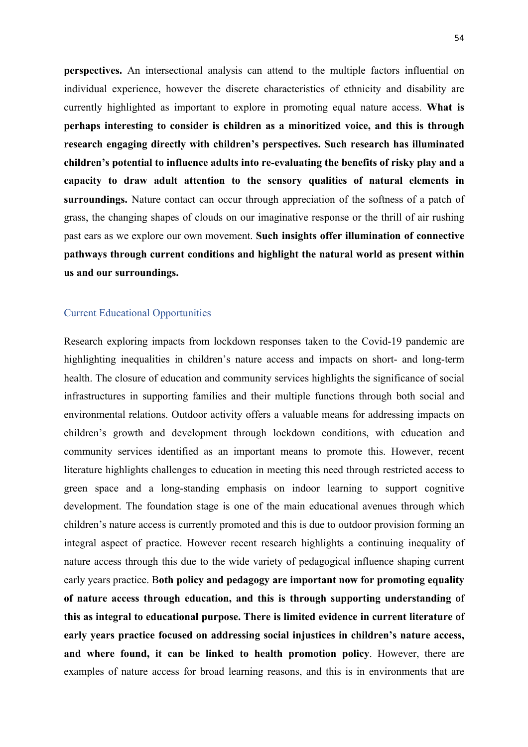**perspectives.** An intersectional analysis can attend to the multiple factors influential on individual experience, however the discrete characteristics of ethnicity and disability are currently highlighted as important to explore in promoting equal nature access. **What is perhaps interesting to consider is children as a minoritized voice, and this is through research engaging directly with children's perspectives. Such research has illuminated children's potential to influence adults into re-evaluating the benefits of risky play and a capacity to draw adult attention to the sensory qualities of natural elements in surroundings.** Nature contact can occur through appreciation of the softness of a patch of grass, the changing shapes of clouds on our imaginative response or the thrill of air rushing past ears as we explore our own movement. **Such insights offer illumination of connective pathways through current conditions and highlight the natural world as present within us and our surroundings.** 

#### Current Educational Opportunities

Research exploring impacts from lockdown responses taken to the Covid-19 pandemic are highlighting inequalities in children's nature access and impacts on short- and long-term health. The closure of education and community services highlights the significance of social infrastructures in supporting families and their multiple functions through both social and environmental relations. Outdoor activity offers a valuable means for addressing impacts on children's growth and development through lockdown conditions, with education and community services identified as an important means to promote this. However, recent literature highlights challenges to education in meeting this need through restricted access to green space and a long-standing emphasis on indoor learning to support cognitive development. The foundation stage is one of the main educational avenues through which children's nature access is currently promoted and this is due to outdoor provision forming an integral aspect of practice. However recent research highlights a continuing inequality of nature access through this due to the wide variety of pedagogical influence shaping current early years practice. B**oth policy and pedagogy are important now for promoting equality of nature access through education, and this is through supporting understanding of this as integral to educational purpose. There is limited evidence in current literature of early years practice focused on addressing social injustices in children's nature access, and where found, it can be linked to health promotion policy**. However, there are examples of nature access for broad learning reasons, and this is in environments that are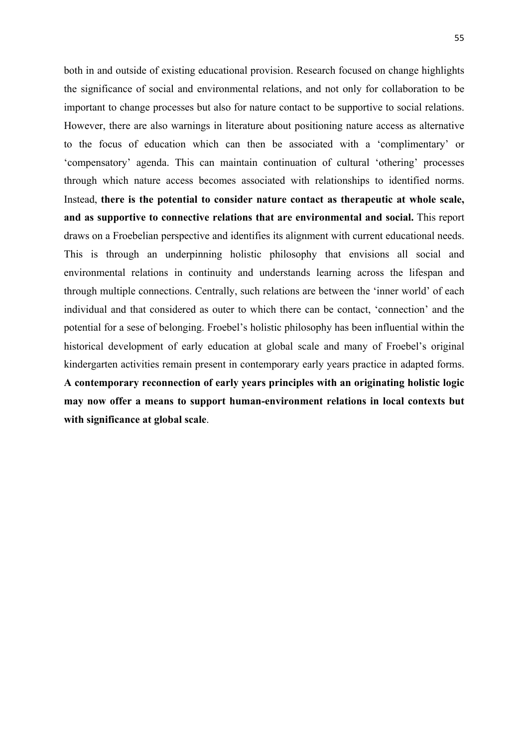both in and outside of existing educational provision. Research focused on change highlights the significance of social and environmental relations, and not only for collaboration to be important to change processes but also for nature contact to be supportive to social relations. However, there are also warnings in literature about positioning nature access as alternative to the focus of education which can then be associated with a 'complimentary' or 'compensatory' agenda. This can maintain continuation of cultural 'othering' processes through which nature access becomes associated with relationships to identified norms. Instead, **there is the potential to consider nature contact as therapeutic at whole scale, and as supportive to connective relations that are environmental and social.** This report draws on a Froebelian perspective and identifies its alignment with current educational needs. This is through an underpinning holistic philosophy that envisions all social and environmental relations in continuity and understands learning across the lifespan and through multiple connections. Centrally, such relations are between the 'inner world' of each individual and that considered as outer to which there can be contact, 'connection' and the potential for a sese of belonging. Froebel's holistic philosophy has been influential within the historical development of early education at global scale and many of Froebel's original kindergarten activities remain present in contemporary early years practice in adapted forms. **A contemporary reconnection of early years principles with an originating holistic logic may now offer a means to support human-environment relations in local contexts but with significance at global scale**.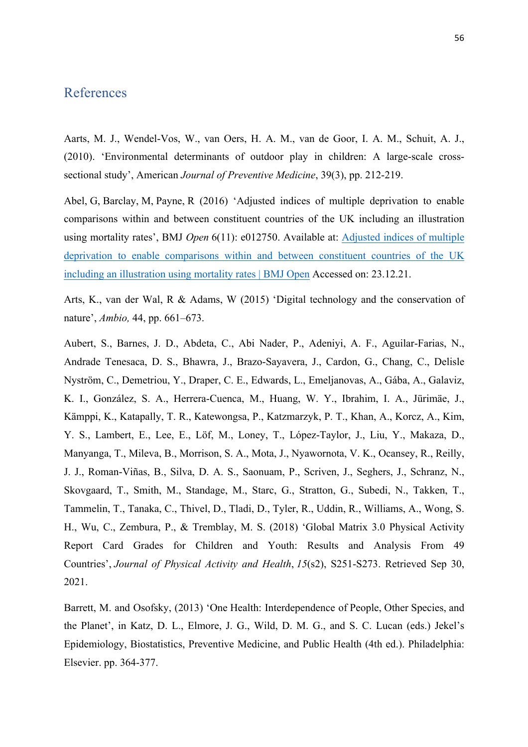### References

Aarts, M. J., Wendel-Vos, W., van Oers, H. A. M., van de Goor, I. A. M., Schuit, A. J., (2010). 'Environmental determinants of outdoor play in children: A large-scale crosssectional study', American *Journal of Preventive Medicine*, 39(3), pp. 212-219.

Abel, G, Barclay, M, Payne, R (2016) 'Adjusted indices of multiple deprivation to enable comparisons within and between constituent countries of the UK including an illustration using mortality rates', BMJ *Open* 6(11): e012750. Available at: Adjusted indices of multiple deprivation to enable comparisons within and between constituent countries of the UK including an illustration using mortality rates | BMJ Open Accessed on: 23.12.21.

Arts, K., van der Wal, R & Adams, W (2015) 'Digital technology and the conservation of nature', *Ambio,* 44, pp. 661–673.

Aubert, S., Barnes, J. D., Abdeta, C., Abi Nader, P., Adeniyi, A. F., Aguilar-Farias, N., Andrade Tenesaca, D. S., Bhawra, J., Brazo-Sayavera, J., Cardon, G., Chang, C., Delisle Nyström, C., Demetriou, Y., Draper, C. E., Edwards, L., Emeljanovas, A., Gába, A., Galaviz, K. I., González, S. A., Herrera-Cuenca, M., Huang, W. Y., Ibrahim, I. A., Jürimäe, J., Kämppi, K., Katapally, T. R., Katewongsa, P., Katzmarzyk, P. T., Khan, A., Korcz, A., Kim, Y. S., Lambert, E., Lee, E., Löf, M., Loney, T., López-Taylor, J., Liu, Y., Makaza, D., Manyanga, T., Mileva, B., Morrison, S. A., Mota, J., Nyawornota, V. K., Ocansey, R., Reilly, J. J., Roman-Viñas, B., Silva, D. A. S., Saonuam, P., Scriven, J., Seghers, J., Schranz, N., Skovgaard, T., Smith, M., Standage, M., Starc, G., Stratton, G., Subedi, N., Takken, T., Tammelin, T., Tanaka, C., Thivel, D., Tladi, D., Tyler, R., Uddin, R., Williams, A., Wong, S. H., Wu, C., Zembura, P., & Tremblay, M. S. (2018) 'Global Matrix 3.0 Physical Activity Report Card Grades for Children and Youth: Results and Analysis From 49 Countries', *Journal of Physical Activity and Health*, *15*(s2), S251-S273. Retrieved Sep 30, 2021.

Barrett, M. and Osofsky, (2013) 'One Health: Interdependence of People, Other Species, and the Planet', in Katz, D. L., Elmore, J. G., Wild, D. M. G., and S. C. Lucan (eds.) Jekel's Epidemiology, Biostatistics, Preventive Medicine, and Public Health (4th ed.). Philadelphia: Elsevier. pp. 364-377.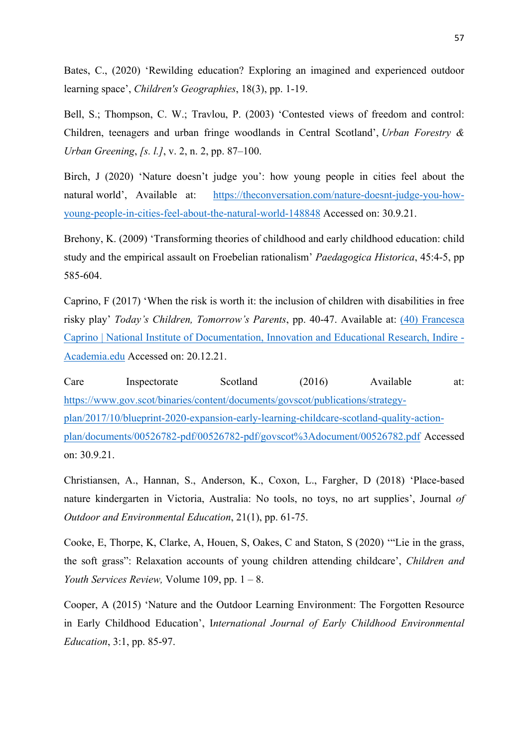Bates, C., (2020) 'Rewilding education? Exploring an imagined and experienced outdoor learning space', *Children's Geographies*, 18(3), pp. 1-19.

Bell, S.; Thompson, C. W.; Travlou, P. (2003) 'Contested views of freedom and control: Children, teenagers and urban fringe woodlands in Central Scotland', *Urban Forestry & Urban Greening*, *[s. l.]*, v. 2, n. 2, pp. 87–100.

Birch, J (2020) 'Nature doesn't judge you': how young people in cities feel about the natural world', Available at: https://theconversation.com/nature-doesnt-judge-you-howyoung-people-in-cities-feel-about-the-natural-world-148848 Accessed on: 30.9.21.

Brehony, K. (2009) 'Transforming theories of childhood and early childhood education: child study and the empirical assault on Froebelian rationalism' *Paedagogica Historica*, 45:4-5, pp 585-604.

Caprino, F (2017) 'When the risk is worth it: the inclusion of children with disabilities in free risky play' *Today's Children, Tomorrow's Parents*, pp. 40-47. Available at: (40) Francesca Caprino | National Institute of Documentation, Innovation and Educational Research, Indire - Academia.edu Accessed on: 20.12.21.

Care Inspectorate Scotland (2016) Available at: https://www.gov.scot/binaries/content/documents/govscot/publications/strategyplan/2017/10/blueprint-2020-expansion-early-learning-childcare-scotland-quality-actionplan/documents/00526782-pdf/00526782-pdf/govscot%3Adocument/00526782.pdf Accessed on: 30.9.21.

Christiansen, A., Hannan, S., Anderson, K., Coxon, L., Fargher, D (2018) 'Place-based nature kindergarten in Victoria, Australia: No tools, no toys, no art supplies', Journal *of Outdoor and Environmental Education*, 21(1), pp. 61-75.

Cooke, E, Thorpe, K, Clarke, A, Houen, S, Oakes, C and Staton, S (2020) '"Lie in the grass, the soft grass": Relaxation accounts of young children attending childcare', *Children and Youth Services Review,* Volume 109, pp. 1 – 8.

Cooper, A (2015) 'Nature and the Outdoor Learning Environment: The Forgotten Resource in Early Childhood Education', I*nternational Journal of Early Childhood Environmental Education*, 3:1, pp. 85-97.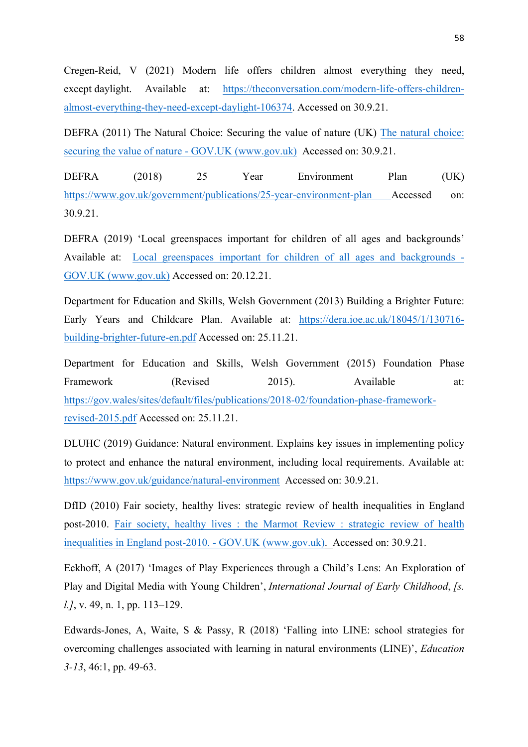Cregen-Reid, V (2021) Modern life offers children almost everything they need, except daylight. Available at: https://theconversation.com/modern-life-offers-childrenalmost-everything-they-need-except-daylight-106374. Accessed on 30.9.21.

DEFRA (2011) The Natural Choice: Securing the value of nature (UK) The natural choice: securing the value of nature - GOV.UK (www.gov.uk) Accessed on: 30.9.21.

DEFRA (2018) 25 Year Environment Plan (UK) https://www.gov.uk/government/publications/25-year-environment-plan Accessed on: 30.9.21.

DEFRA (2019) 'Local greenspaces important for children of all ages and backgrounds' Available at: Local greenspaces important for children of all ages and backgrounds - GOV.UK (www.gov.uk) Accessed on: 20.12.21.

Department for Education and Skills, Welsh Government (2013) Building a Brighter Future: Early Years and Childcare Plan. Available at: https://dera.ioe.ac.uk/18045/1/130716 building-brighter-future-en.pdf Accessed on: 25.11.21.

Department for Education and Skills, Welsh Government (2015) Foundation Phase Framework (Revised 2015). Available at: https://gov.wales/sites/default/files/publications/2018-02/foundation-phase-frameworkrevised-2015.pdf Accessed on: 25.11.21.

DLUHC (2019) Guidance: Natural environment. Explains key issues in implementing policy to protect and enhance the natural environment, including local requirements. Available at: https://www.gov.uk/guidance/natural-environment Accessed on: 30.9.21.

DfID (2010) Fair society, healthy lives: strategic review of health inequalities in England post-2010. Fair society, healthy lives : the Marmot Review : strategic review of health inequalities in England post-2010. - GOV.UK (www.gov.uk). Accessed on: 30.9.21.

Eckhoff, A (2017) 'Images of Play Experiences through a Child's Lens: An Exploration of Play and Digital Media with Young Children', *International Journal of Early Childhood*, *[s. l.]*, v. 49, n. 1, pp. 113–129.

Edwards-Jones, A, Waite, S & Passy, R (2018) 'Falling into LINE: school strategies for overcoming challenges associated with learning in natural environments (LINE)', *Education 3-13*, 46:1, pp. 49-63.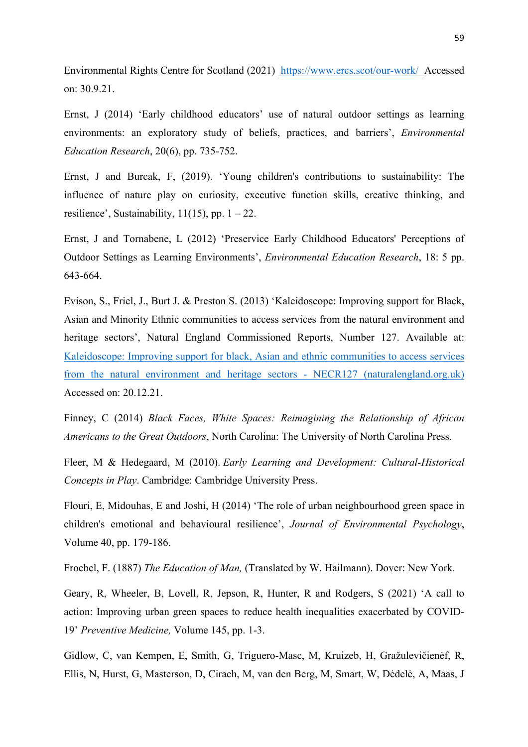Environmental Rights Centre for Scotland (2021) https://www.ercs.scot/our-work/ Accessed on: 30.9.21.

Ernst, J (2014) 'Early childhood educators' use of natural outdoor settings as learning environments: an exploratory study of beliefs, practices, and barriers', *Environmental Education Research*, 20(6), pp. 735-752.

Ernst, J and Burcak, F, (2019). 'Young children's contributions to sustainability: The influence of nature play on curiosity, executive function skills, creative thinking, and resilience', Sustainability,  $11(15)$ , pp.  $1 - 22$ .

Ernst, J and Tornabene, L (2012) 'Preservice Early Childhood Educators' Perceptions of Outdoor Settings as Learning Environments', *Environmental Education Research*, 18: 5 pp. 643-664.

Evison, S., Friel, J., Burt J. & Preston S. (2013) 'Kaleidoscope: Improving support for Black, Asian and Minority Ethnic communities to access services from the natural environment and heritage sectors', Natural England Commissioned Reports, Number 127. Available at: Kaleidoscope: Improving support for black, Asian and ethnic communities to access services from the natural environment and heritage sectors - NECR127 (naturalengland.org.uk) Accessed on: 20.12.21.

Finney, C (2014) *Black Faces, White Spaces: Reimagining the Relationship of African Americans to the Great Outdoors*, North Carolina: The University of North Carolina Press.

Fleer, M & Hedegaard, M (2010). *Early Learning and Development: Cultural-Historical Concepts in Play*. Cambridge: Cambridge University Press.

Flouri, E, Midouhas, E and Joshi, H (2014) 'The role of urban neighbourhood green space in children's emotional and behavioural resilience', *Journal of Environmental Psychology*, Volume 40, pp. 179-186.

Froebel, F. (1887) *The Education of Man,* (Translated by W. Hailmann). Dover: New York.

Geary, R, Wheeler, B, Lovell, R, Jepson, R, Hunter, R and Rodgers, S (2021) 'A call to action: Improving urban green spaces to reduce health inequalities exacerbated by COVID-19' *Preventive Medicine,* Volume 145, pp. 1-3.

Gidlow, C, van Kempen, E, Smith, G, Triguero-Masc, M, Kruizeb, H, Gražulevičienėf, R, Ellis, N, Hurst, G, Masterson, D, Cirach, M, van den Berg, M, Smart, W, Dėdelė, A, Maas, J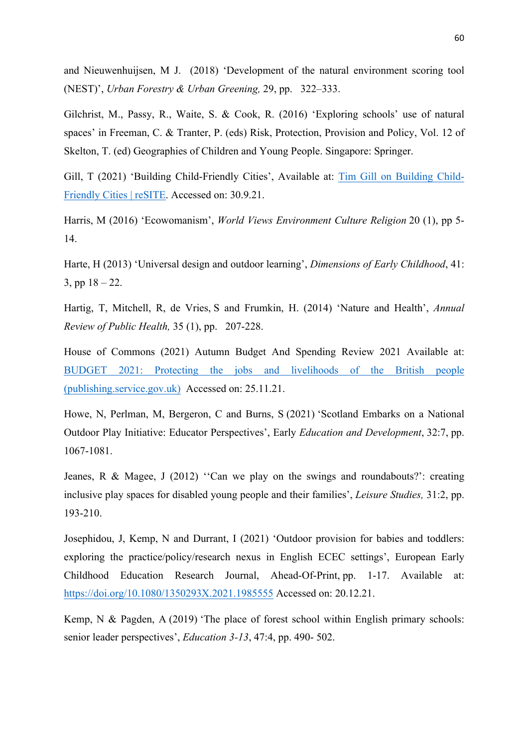and Nieuwenhuijsen, M J. (2018) 'Development of the natural environment scoring tool (NEST)', *Urban Forestry & Urban Greening,* 29, pp. 322–333.

Gilchrist, M., Passy, R., Waite, S. & Cook, R. (2016) 'Exploring schools' use of natural spaces' in Freeman, C. & Tranter, P. (eds) Risk, Protection, Provision and Policy, Vol. 12 of Skelton, T. (ed) Geographies of Children and Young People. Singapore: Springer.

Gill, T (2021) 'Building Child-Friendly Cities', Available at: Tim Gill on Building Child-Friendly Cities | reSITE. Accessed on: 30.9.21.

Harris, M (2016) 'Ecowomanism', *World Views Environment Culture Religion* 20 (1), pp 5- 14.

Harte, H (2013) 'Universal design and outdoor learning', *Dimensions of Early Childhood*, 41: 3, pp  $18 - 22$ .

Hartig, T, Mitchell, R, de Vries, S and Frumkin, H. (2014) 'Nature and Health', *Annual Review of Public Health,* 35 (1), pp. 207-228.

House of Commons (2021) Autumn Budget And Spending Review 2021 Available at: BUDGET 2021: Protecting the jobs and livelihoods of the British people (publishing.service.gov.uk) Accessed on: 25.11.21.

Howe, N, Perlman, M, Bergeron, C and Burns, S (2021) 'Scotland Embarks on a National Outdoor Play Initiative: Educator Perspectives', Early *Education and Development*, 32:7, pp. 1067-1081.

Jeanes, R & Magee, J (2012) ''Can we play on the swings and roundabouts?': creating inclusive play spaces for disabled young people and their families', *Leisure Studies,* 31:2, pp. 193-210.

Josephidou, J, Kemp, N and Durrant, I (2021) 'Outdoor provision for babies and toddlers: exploring the practice/policy/research nexus in English ECEC settings', European Early Childhood Education Research Journal, Ahead-Of-Print, pp. 1-17. Available at: https://doi.org/10.1080/1350293X.2021.1985555 Accessed on: 20.12.21.

Kemp, N & Pagden, A (2019) 'The place of forest school within English primary schools: senior leader perspectives', *Education 3-13*, 47:4, pp. 490- 502.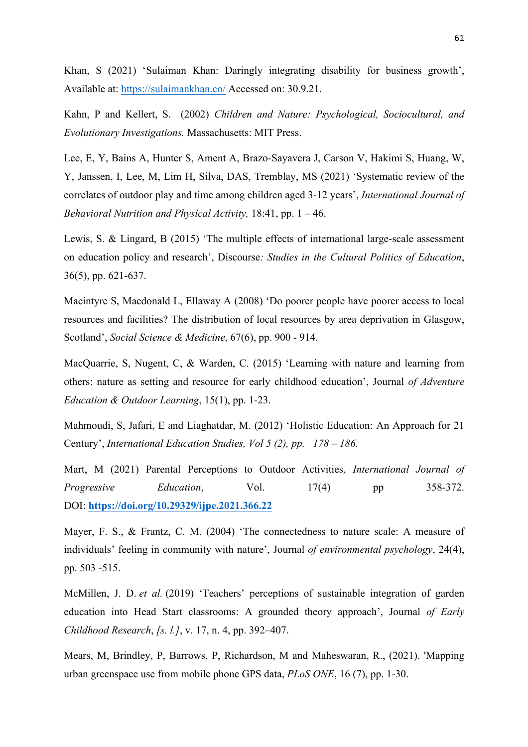Khan, S (2021) 'Sulaiman Khan: Daringly integrating disability for business growth', Available at: https://sulaimankhan.co/ Accessed on: 30.9.21.

Kahn, P and Kellert, S. (2002) *Children and Nature: Psychological, Sociocultural, and Evolutionary Investigations.* Massachusetts: MIT Press.

Lee, E, Y, Bains A, Hunter S, Ament A, Brazo-Sayavera J, Carson V, Hakimi S, Huang, W, Y, Janssen, I, Lee, M, Lim H, Silva, DAS, Tremblay, MS (2021) 'Systematic review of the correlates of outdoor play and time among children aged 3-12 years', *International Journal of Behavioral Nutrition and Physical Activity,* 18:41, pp. 1 – 46.

Lewis, S. & Lingard, B (2015) 'The multiple effects of international large-scale assessment on education policy and research', Discourse*: Studies in the Cultural Politics of Education*, 36(5), pp. 621-637.

Macintyre S, Macdonald L, Ellaway A (2008) 'Do poorer people have poorer access to local resources and facilities? The distribution of local resources by area deprivation in Glasgow, Scotland', *Social Science & Medicine*, 67(6), pp. 900 - 914.

MacQuarrie, S, Nugent, C, & Warden, C. (2015) 'Learning with nature and learning from others: nature as setting and resource for early childhood education', Journal *of Adventure Education & Outdoor Learning*, 15(1), pp. 1-23.

Mahmoudi, S, Jafari, E and Liaghatdar, M. (2012) 'Holistic Education: An Approach for 21 Century', *International Education Studies, Vol 5 (2), pp. 178 – 186.* 

Mart, M (2021) Parental Perceptions to Outdoor Activities, *International Journal of Progressive Education*, Vol. 17(4) pp 358-372. DOI: **https://doi.org/10.29329/ijpe.2021.366.22**

Mayer, F. S., & Frantz, C. M. (2004) 'The connectedness to nature scale: A measure of individuals' feeling in community with nature', Journal *of environmental psychology*, 24(4), pp. 503 -515.

McMillen, J. D. *et al.* (2019) 'Teachers' perceptions of sustainable integration of garden education into Head Start classrooms: A grounded theory approach', Journal *of Early Childhood Research*, *[s. l.]*, v. 17, n. 4, pp. 392–407.

Mears, M, Brindley, P, Barrows, P, Richardson, M and Maheswaran, R., (2021). 'Mapping urban greenspace use from mobile phone GPS data, *PLoS ONE*, 16 (7), pp. 1-30.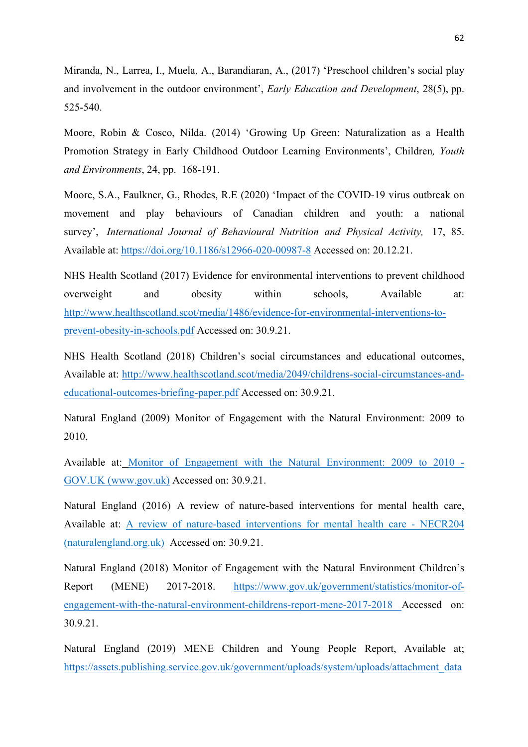Miranda, N., Larrea, I., Muela, A., Barandiaran, A., (2017) 'Preschool children's social play and involvement in the outdoor environment', *Early Education and Development*, 28(5), pp. 525-540.

Moore, Robin & Cosco, Nilda. (2014) 'Growing Up Green: Naturalization as a Health Promotion Strategy in Early Childhood Outdoor Learning Environments', Children*, Youth and Environments*, 24, pp. 168-191.

Moore, S.A., Faulkner, G., Rhodes, R.E (2020) 'Impact of the COVID-19 virus outbreak on movement and play behaviours of Canadian children and youth: a national survey', *International Journal of Behavioural Nutrition and Physical Activity,* 17, 85. Available at: https://doi.org/10.1186/s12966-020-00987-8 Accessed on: 20.12.21.

NHS Health Scotland (2017) Evidence for environmental interventions to prevent childhood overweight and obesity within schools, Available at: http://www.healthscotland.scot/media/1486/evidence-for-environmental-interventions-toprevent-obesity-in-schools.pdf Accessed on: 30.9.21.

NHS Health Scotland (2018) Children's social circumstances and educational outcomes, Available at: http://www.healthscotland.scot/media/2049/childrens-social-circumstances-andeducational-outcomes-briefing-paper.pdf Accessed on: 30.9.21.

Natural England (2009) Monitor of Engagement with the Natural Environment: 2009 to 2010,

Available at: Monitor of Engagement with the Natural Environment: 2009 to 2010 - GOV.UK (www.gov.uk) Accessed on: 30.9.21.

Natural England (2016) A review of nature-based interventions for mental health care, Available at: A review of nature-based interventions for mental health care - NECR204 (naturalengland.org.uk) Accessed on: 30.9.21.

Natural England (2018) Monitor of Engagement with the Natural Environment Children's Report (MENE) 2017-2018. https://www.gov.uk/government/statistics/monitor-ofengagement-with-the-natural-environment-childrens-report-mene-2017-2018 Accessed on: 30.9.21.

Natural England (2019) MENE Children and Young People Report, Available at; https://assets.publishing.service.gov.uk/government/uploads/system/uploads/attachment\_data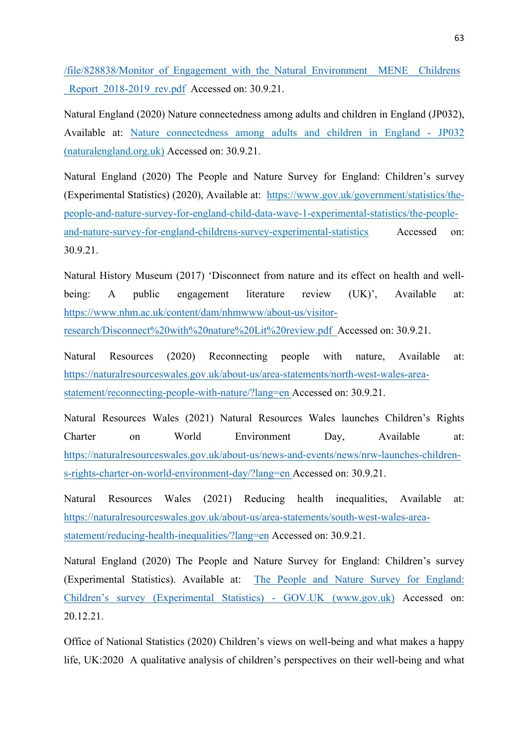/file/828838/Monitor\_of\_Engagement\_with\_the\_Natural\_Environment\_\_MENE\_\_Childrens Report 2018-2019 rev.pdf Accessed on: 30.9.21.

Natural England (2020) Nature connectedness among adults and children in England (JP032), Available at: Nature connectedness among adults and children in England - JP032 (naturalengland.org.uk) Accessed on: 30.9.21.

Natural England (2020) The People and Nature Survey for England: Children's survey (Experimental Statistics) (2020), Available at: https://www.gov.uk/government/statistics/thepeople-and-nature-survey-for-england-child-data-wave-1-experimental-statistics/the-peopleand-nature-survey-for-england-childrens-survey-experimental-statistics Accessed on: 30.9.21.

Natural History Museum (2017) 'Disconnect from nature and its effect on health and wellbeing: A public engagement literature review (UK)', Available at: https://www.nhm.ac.uk/content/dam/nhmwww/about-us/visitorresearch/Disconnect%20with%20nature%20Lit%20review.pdf Accessed on: 30.9.21.

Natural Resources (2020) Reconnecting people with nature, Available at: https://naturalresourceswales.gov.uk/about-us/area-statements/north-west-wales-areastatement/reconnecting-people-with-nature/?lang=en Accessed on: 30.9.21.

Natural Resources Wales (2021) Natural Resources Wales launches Children's Rights Charter on World Environment Day, Available at: https://naturalresourceswales.gov.uk/about-us/news-and-events/news/nrw-launches-childrens-rights-charter-on-world-environment-day/?lang=en Accessed on: 30.9.21.

Natural Resources Wales (2021) Reducing health inequalities, Available at: https://naturalresourceswales.gov.uk/about-us/area-statements/south-west-wales-areastatement/reducing-health-inequalities/?lang=en Accessed on: 30.9.21.

Natural England (2020) The People and Nature Survey for England: Children's survey (Experimental Statistics). Available at: The People and Nature Survey for England: Children's survey (Experimental Statistics) - GOV.UK (www.gov.uk) Accessed on: 20.12.21.

Office of National Statistics (2020) Children's views on well-being and what makes a happy life, UK:2020 A qualitative analysis of children's perspectives on their well-being and what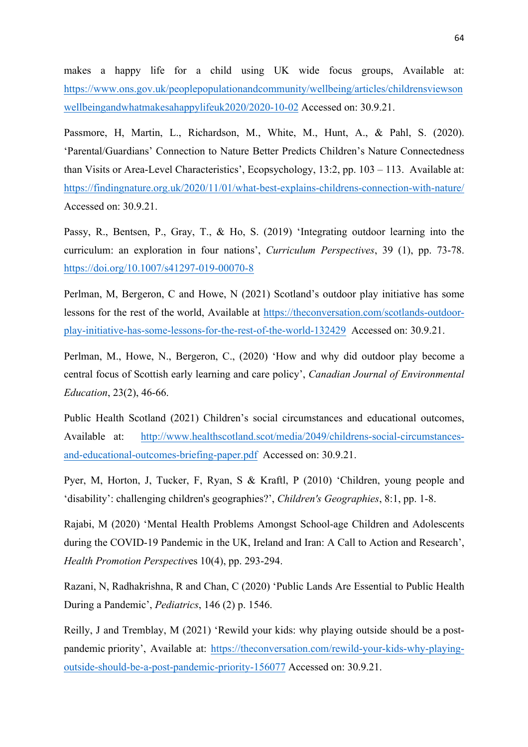makes a happy life for a child using UK wide focus groups, Available at: https://www.ons.gov.uk/peoplepopulationandcommunity/wellbeing/articles/childrensviewson wellbeingandwhatmakesahappylifeuk2020/2020-10-02 Accessed on: 30.9.21.

Passmore, H, Martin, L., Richardson, M., White, M., Hunt, A., & Pahl, S. (2020). 'Parental/Guardians' Connection to Nature Better Predicts Children's Nature Connectedness than Visits or Area-Level Characteristics', Ecopsychology, 13:2, pp. 103 – 113. Available at: https://findingnature.org.uk/2020/11/01/what-best-explains-childrens-connection-with-nature/ Accessed on: 30.9.21.

Passy, R., Bentsen, P., Gray, T., & Ho, S. (2019) 'Integrating outdoor learning into the curriculum: an exploration in four nations', *Curriculum Perspectives*, 39 (1), pp. 73-78. https://doi.org/10.1007/s41297-019-00070-8

Perlman, M, Bergeron, C and Howe, N (2021) Scotland's outdoor play initiative has some lessons for the rest of the world, Available at https://theconversation.com/scotlands-outdoorplay-initiative-has-some-lessons-for-the-rest-of-the-world-132429 Accessed on: 30.9.21.

Perlman, M., Howe, N., Bergeron, C., (2020) 'How and why did outdoor play become a central focus of Scottish early learning and care policy', *Canadian Journal of Environmental Education*, 23(2), 46-66.

Public Health Scotland (2021) Children's social circumstances and educational outcomes, Available at: http://www.healthscotland.scot/media/2049/childrens-social-circumstancesand-educational-outcomes-briefing-paper.pdf Accessed on: 30.9.21.

Pyer, M, Horton, J, Tucker, F, Ryan, S & Kraftl, P (2010) 'Children, young people and 'disability': challenging children's geographies?', *Children's Geographies*, 8:1, pp. 1-8.

Rajabi, M (2020) 'Mental Health Problems Amongst School-age Children and Adolescents during the COVID-19 Pandemic in the UK, Ireland and Iran: A Call to Action and Research', *Health Promotion Perspectiv*es 10(4), pp. 293-294.

Razani, N, Radhakrishna, R and Chan, C (2020) 'Public Lands Are Essential to Public Health During a Pandemic', *Pediatrics*, 146 (2) p. 1546.

Reilly, J and Tremblay, M (2021) 'Rewild your kids: why playing outside should be a postpandemic priority', Available at: https://theconversation.com/rewild-your-kids-why-playingoutside-should-be-a-post-pandemic-priority-156077 Accessed on: 30.9.21.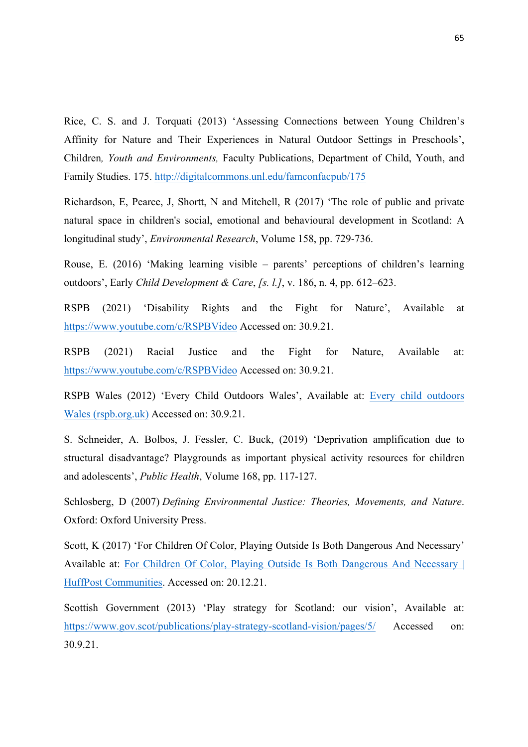Rice, C. S. and J. Torquati (2013) 'Assessing Connections between Young Children's Affinity for Nature and Their Experiences in Natural Outdoor Settings in Preschools', Children*, Youth and Environments,* Faculty Publications, Department of Child, Youth, and Family Studies. 175. http://digitalcommons.unl.edu/famconfacpub/175

Richardson, E, Pearce, J, Shortt, N and Mitchell, R (2017) 'The role of public and private natural space in children's social, emotional and behavioural development in Scotland: A longitudinal study', *Environmental Research*, Volume 158, pp. 729-736.

Rouse, E. (2016) 'Making learning visible – parents' perceptions of children's learning outdoors', Early *Child Development & Care*, *[s. l.]*, v. 186, n. 4, pp. 612–623.

RSPB (2021) 'Disability Rights and the Fight for Nature', Available at https://www.youtube.com/c/RSPBVideo Accessed on: 30.9.21.

RSPB (2021) Racial Justice and the Fight for Nature, Available at: https://www.youtube.com/c/RSPBVideo Accessed on: 30.9.21.

RSPB Wales (2012) 'Every Child Outdoors Wales', Available at: Every child outdoors Wales (rspb.org.uk) Accessed on: 30.9.21.

S. Schneider, A. Bolbos, J. Fessler, C. Buck, (2019) 'Deprivation amplification due to structural disadvantage? Playgrounds as important physical activity resources for children and adolescents', *Public Health*, Volume 168, pp. 117-127.

Schlosberg, D (2007) *Defining Environmental Justice: Theories, Movements, and Nature*. Oxford: Oxford University Press.

Scott, K (2017) 'For Children Of Color, Playing Outside Is Both Dangerous And Necessary' Available at: For Children Of Color, Playing Outside Is Both Dangerous And Necessary | HuffPost Communities. Accessed on: 20.12.21.

Scottish Government (2013) 'Play strategy for Scotland: our vision', Available at: https://www.gov.scot/publications/play-strategy-scotland-vision/pages/5/ Accessed on: 30.9.21.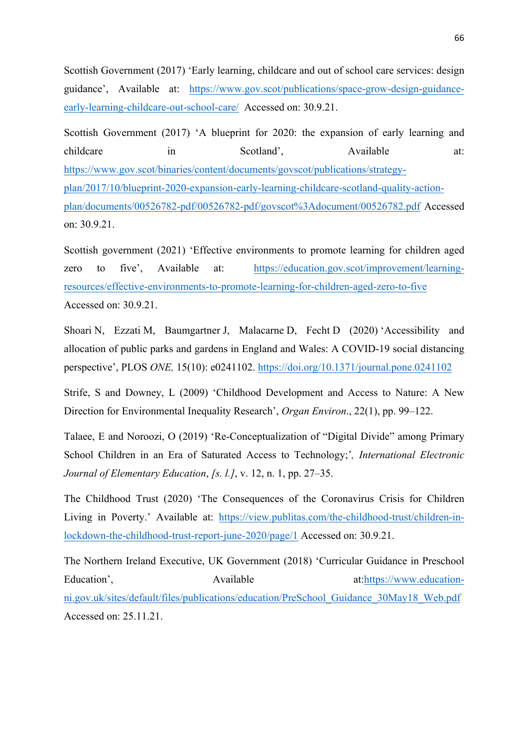Scottish Government (2017) 'Early learning, childcare and out of school care services: design guidance', Available at: https://www.gov.scot/publications/space-grow-design-guidanceearly-learning-childcare-out-school-care/ Accessed on: 30.9.21.

Scottish Government (2017) 'A blueprint for 2020: the expansion of early learning and childcare in Scotland', Available at: https://www.gov.scot/binaries/content/documents/govscot/publications/strategyplan/2017/10/blueprint-2020-expansion-early-learning-childcare-scotland-quality-actionplan/documents/00526782-pdf/00526782-pdf/govscot%3Adocument/00526782.pdf Accessed on: 30.9.21.

Scottish government (2021) 'Effective environments to promote learning for children aged zero to five', Available at: https://education.gov.scot/improvement/learningresources/effective-environments-to-promote-learning-for-children-aged-zero-to-five Accessed on: 30.9.21.

Shoari N, Ezzati M, Baumgartner J, Malacarne D, Fecht D (2020) 'Accessibility and allocation of public parks and gardens in England and Wales: A COVID-19 social distancing perspective', PLOS *ONE,* 15(10): e0241102. https://doi.org/10.1371/journal.pone.0241102

Strife, S and Downey, L (2009) 'Childhood Development and Access to Nature: A New Direction for Environmental Inequality Research', *Organ Environ*., 22(1), pp. 99–122.

Talaee, E and Noroozi, O (2019) 'Re-Conceptualization of "Digital Divide" among Primary School Children in an Era of Saturated Access to Technology;'*, International Electronic Journal of Elementary Education*, *[s. l.]*, v. 12, n. 1, pp. 27–35.

The Childhood Trust (2020) 'The Consequences of the Coronavirus Crisis for Children Living in Poverty.' Available at: https://view.publitas.com/the-childhood-trust/children-inlockdown-the-childhood-trust-report-june-2020/page/1 Accessed on: 30.9.21.

The Northern Ireland Executive, UK Government (2018) 'Curricular Guidance in Preschool Education', Available at:https://www.educationni.gov.uk/sites/default/files/publications/education/PreSchool\_Guidance\_30May18\_Web.pdf Accessed on: 25.11.21.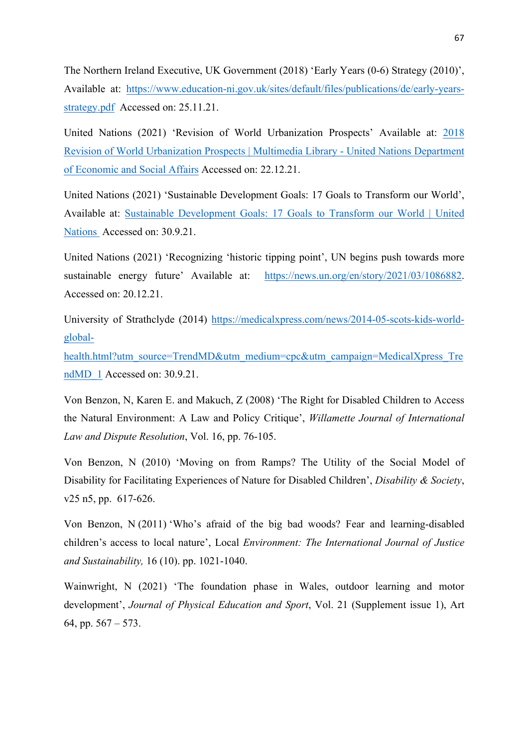The Northern Ireland Executive, UK Government (2018) 'Early Years (0-6) Strategy (2010)', Available at: https://www.education-ni.gov.uk/sites/default/files/publications/de/early-yearsstrategy.pdf Accessed on: 25.11.21.

United Nations (2021) 'Revision of World Urbanization Prospects' Available at: 2018 Revision of World Urbanization Prospects | Multimedia Library - United Nations Department of Economic and Social Affairs Accessed on: 22.12.21.

United Nations (2021) 'Sustainable Development Goals: 17 Goals to Transform our World', Available at: Sustainable Development Goals: 17 Goals to Transform our World | United Nations Accessed on: 30.9.21.

United Nations (2021) 'Recognizing 'historic tipping point', UN begins push towards more sustainable energy future' Available at: https://news.un.org/en/story/2021/03/1086882. Accessed on: 20.12.21.

University of Strathclyde (2014) https://medicalxpress.com/news/2014-05-scots-kids-worldglobal-

health.html?utm\_source=TrendMD&utm\_medium=cpc&utm\_campaign=MedicalXpress\_Tre ndMD 1 Accessed on: 30.9.21.

Von Benzon, N, Karen E. and Makuch, Z (2008) 'The Right for Disabled Children to Access the Natural Environment: A Law and Policy Critique', *Willamette Journal of International Law and Dispute Resolution*, Vol. 16, pp. 76-105.

Von Benzon, N (2010) 'Moving on from Ramps? The Utility of the Social Model of Disability for Facilitating Experiences of Nature for Disabled Children', *Disability & Society*, v25 n5, pp. 617-626.

Von Benzon, N (2011) 'Who's afraid of the big bad woods? Fear and learning-disabled children's access to local nature', Local *Environment: The International Journal of Justice and Sustainability,* 16 (10). pp. 1021-1040.

Wainwright, N (2021) 'The foundation phase in Wales, outdoor learning and motor development', *Journal of Physical Education and Sport*, Vol. 21 (Supplement issue 1), Art 64, pp. 567 – 573.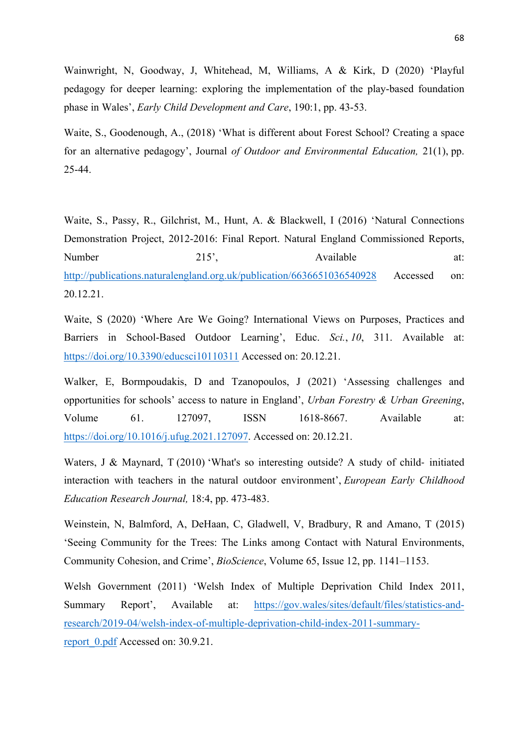Wainwright, N, Goodway, J, Whitehead, M, Williams, A & Kirk, D (2020) 'Playful pedagogy for deeper learning: exploring the implementation of the play-based foundation phase in Wales', *Early Child Development and Care*, 190:1, pp. 43-53.

Waite, S., Goodenough, A., (2018) 'What is different about Forest School? Creating a space for an alternative pedagogy', Journal *of Outdoor and Environmental Education,* 21(1), pp. 25-44.

Waite, S., Passy, R., Gilchrist, M., Hunt, A. & Blackwell, I (2016) 'Natural Connections Demonstration Project, 2012-2016: Final Report. Natural England Commissioned Reports, Number 215', Available at: http://publications.naturalengland.org.uk/publication/6636651036540928 Accessed on: 20.12.21.

Waite, S (2020) 'Where Are We Going? International Views on Purposes, Practices and Barriers in School-Based Outdoor Learning', Educ. *Sci.*, *10*, 311. Available at: https://doi.org/10.3390/educsci10110311 Accessed on: 20.12.21.

Walker, E, Bormpoudakis, D and Tzanopoulos, J (2021) 'Assessing challenges and opportunities for schools' access to nature in England', *Urban Forestry & Urban Greening*, Volume 61. 127097, ISSN 1618-8667. Available at: https://doi.org/10.1016/j.ufug.2021.127097. Accessed on: 20.12.21.

Waters, J & Maynard, T (2010) 'What's so interesting outside? A study of child- initiated interaction with teachers in the natural outdoor environment', *European Early Childhood Education Research Journal,* 18:4, pp. 473-483.

Weinstein, N, Balmford, A, DeHaan, C, Gladwell, V, Bradbury, R and Amano, T (2015) 'Seeing Community for the Trees: The Links among Contact with Natural Environments, Community Cohesion, and Crime', *BioScience*, Volume 65, Issue 12, pp. 1141–1153.

Welsh Government (2011) 'Welsh Index of Multiple Deprivation Child Index 2011, Summary Report', Available at: https://gov.wales/sites/default/files/statistics-andresearch/2019-04/welsh-index-of-multiple-deprivation-child-index-2011-summaryreport  $0.$ pdf Accessed on: 30.9.21.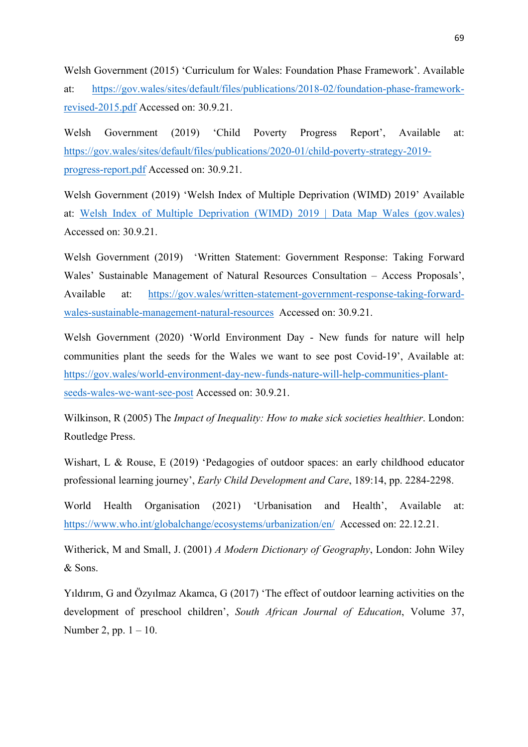Welsh Government (2015) 'Curriculum for Wales: Foundation Phase Framework'. Available at: https://gov.wales/sites/default/files/publications/2018-02/foundation-phase-frameworkrevised-2015.pdf Accessed on: 30.9.21.

Welsh Government (2019) 'Child Poverty Progress Report', Available at: https://gov.wales/sites/default/files/publications/2020-01/child-poverty-strategy-2019 progress-report.pdf Accessed on: 30.9.21.

Welsh Government (2019) 'Welsh Index of Multiple Deprivation (WIMD) 2019' Available at: Welsh Index of Multiple Deprivation (WIMD) 2019 | Data Map Wales (gov.wales) Accessed on: 30.9.21.

Welsh Government (2019) 'Written Statement: Government Response: Taking Forward Wales' Sustainable Management of Natural Resources Consultation – Access Proposals', Available at: https://gov.wales/written-statement-government-response-taking-forwardwales-sustainable-management-natural-resources Accessed on: 30.9.21.

Welsh Government (2020) 'World Environment Day - New funds for nature will help communities plant the seeds for the Wales we want to see post Covid-19', Available at: https://gov.wales/world-environment-day-new-funds-nature-will-help-communities-plantseeds-wales-we-want-see-post Accessed on: 30.9.21.

Wilkinson, R (2005) The *Impact of Inequality: How to make sick societies healthier*. London: Routledge Press.

Wishart, L & Rouse, E (2019) 'Pedagogies of outdoor spaces: an early childhood educator professional learning journey', *Early Child Development and Care*, 189:14, pp. 2284-2298.

World Health Organisation (2021) 'Urbanisation and Health', Available at: https://www.who.int/globalchange/ecosystems/urbanization/en/ Accessed on: 22.12.21.

Witherick, M and Small, J. (2001) *A Modern Dictionary of Geography*, London: John Wiley & Sons.

Yıldırım, G and Özyılmaz Akamca, G (2017) 'The effect of outdoor learning activities on the development of preschool children', *South African Journal of Education*, Volume 37, Number 2, pp.  $1 - 10$ .